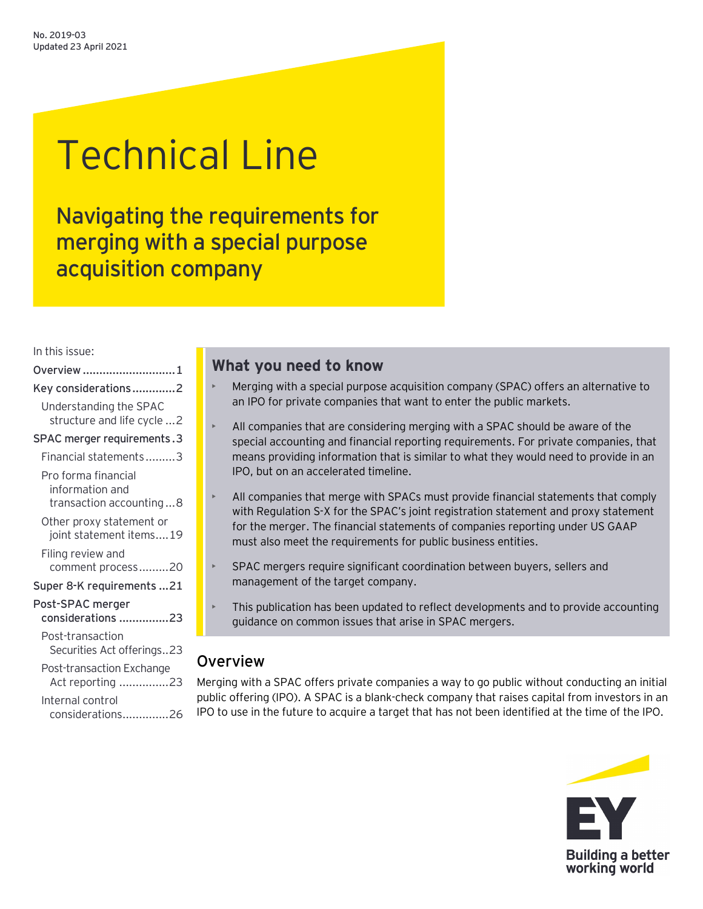# Technical Line

Navigating the requirements for merging with a special purpose acquisition company

In this issue:

| Overview 1                                                        |  |
|-------------------------------------------------------------------|--|
| Key considerations2                                               |  |
| Understanding the SPAC<br>structure and life cycle  2             |  |
| SPAC merger requirements.3                                        |  |
| Financial statements3                                             |  |
| Pro forma financial<br>information and<br>transaction accounting8 |  |
| Other proxy statement or<br>joint statement items19               |  |
| Filing review and<br>comment process20                            |  |
| Super 8-K requirements 21                                         |  |
| Post-SPAC merger<br>considerations 23                             |  |
| Post-transaction<br>Securities Act offerings23                    |  |
| Post-transaction Exchange<br>Act reporting 23                     |  |
| Internal control<br>considerations<br>.26<br>.                    |  |

# **What you need to know**

- Merging with a special purpose acquisition company (SPAC) offers an alternative to an IPO for private companies that want to enter the public markets.
- All companies that are considering merging with a SPAC should be aware of the special accounting and financial reporting requirements. For private companies, that means providing information that is similar to what they would need to provide in an IPO, but on an accelerated timeline.
- All companies that merge with SPACs must provide financial statements that comply with Regulation S-X for the SPAC's joint registration statement and proxy statement for the merger. The financial statements of companies reporting under US GAAP must also meet the requirements for public business entities.
- SPAC mergers require significant coordination between buyers, sellers and management of the target company.
- This publication has been updated to reflect developments and to provide accounting guidance on common issues that arise in SPAC mergers.

# <span id="page-0-0"></span>Overview

Merging with a SPAC offers private companies a way to go public without conducting an initial public offering (IPO). A SPAC is a blank-check company that raises capital from investors in an IPO to use in the future to acquire a target that has not been identified at the time of the IPO.

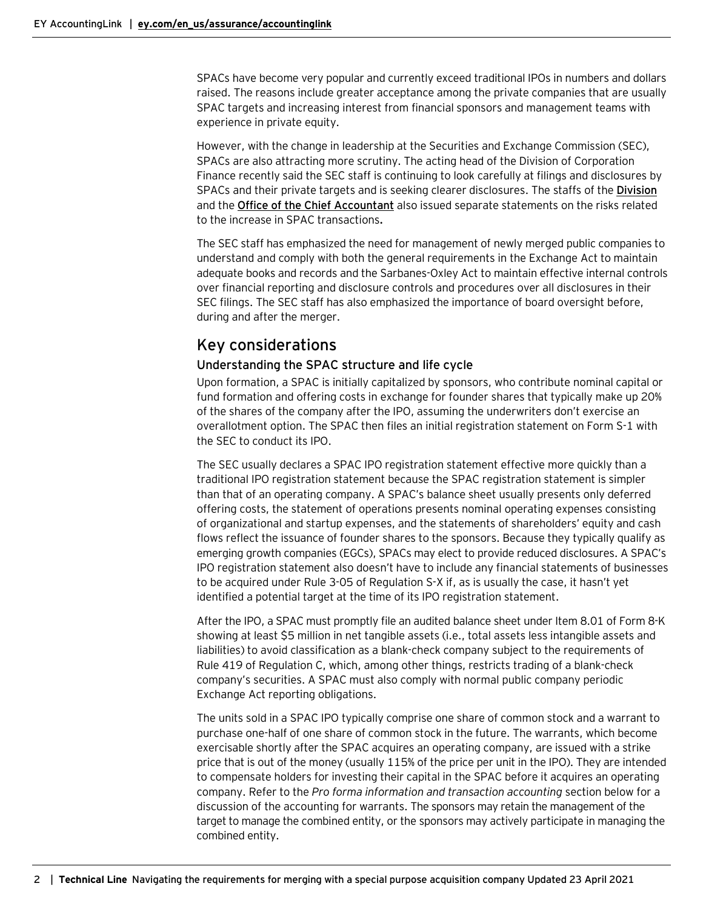SPACs have become very popular and currently exceed traditional IPOs in numbers and dollars raised. The reasons include greater acceptance among the private companies that are usually SPAC targets and increasing interest from financial sponsors and management teams with experience in private equity.

However, with the change in leadership at the Securities and Exchange Commission (SEC), SPACs are also attracting more scrutiny. The acting head of the Division of Corporation Finance recently said the SEC staff is continuing to look carefully at filings and disclosures by SPACs and their private targets and is seeking clearer disclosures. The staffs of the **[Division](https://www.sec.gov/news/public-statement/division-cf-spac-2021-03-31)** and the **[Office of the Chief Accountant](https://www.sec.gov/news/public-statement/munter-spac-20200331)** also issued separate statements on the risks related to the increase in SPAC transactions**.**

The SEC staff has emphasized the need for management of newly merged public companies to understand and comply with both the general requirements in the Exchange Act to maintain adequate books and records and the Sarbanes-Oxley Act to maintain effective internal controls over financial reporting and disclosure controls and procedures over all disclosures in their SEC filings. The SEC staff has also emphasized the importance of board oversight before, during and after the merger.

# <span id="page-1-0"></span>Key considerations

## <span id="page-1-1"></span>Understanding the SPAC structure and life cycle

Upon formation, a SPAC is initially capitalized by sponsors, who contribute nominal capital or fund formation and offering costs in exchange for founder shares that typically make up 20% of the shares of the company after the IPO, assuming the underwriters don't exercise an overallotment option. The SPAC then files an initial registration statement on Form S-1 with the SEC to conduct its IPO.

The SEC usually declares a SPAC IPO registration statement effective more quickly than a traditional IPO registration statement because the SPAC registration statement is simpler than that of an operating company. A SPAC's balance sheet usually presents only deferred offering costs, the statement of operations presents nominal operating expenses consisting of organizational and startup expenses, and the statements of shareholders' equity and cash flows reflect the issuance of founder shares to the sponsors. Because they typically qualify as emerging growth companies (EGCs), SPACs may elect to provide reduced disclosures. A SPAC's IPO registration statement also doesn't have to include any financial statements of businesses to be acquired under Rule 3-05 of Regulation S-X if, as is usually the case, it hasn't yet identified a potential target at the time of its IPO registration statement.

After the IPO, a SPAC must promptly file an audited balance sheet under Item 8.01 of Form 8-K showing at least \$5 million in net tangible assets (i.e., total assets less intangible assets and liabilities) to avoid classification as a blank-check company subject to the requirements of Rule 419 of Regulation C, which, among other things, restricts trading of a blank-check company's securities. A SPAC must also comply with normal public company periodic Exchange Act reporting obligations.

The units sold in a SPAC IPO typically comprise one share of common stock and a warrant to purchase one-half of one share of common stock in the future. The warrants, which become exercisable shortly after the SPAC acquires an operating company, are issued with a strike price that is out of the money (usually 115% of the price per unit in the IPO). They are intended to compensate holders for investing their capital in the SPAC before it acquires an operating company. Refer to the *Pro forma information and transaction accounting* section below for a discussion of the accounting for warrants. The sponsors may retain the management of the target to manage the combined entity, or the sponsors may actively participate in managing the combined entity.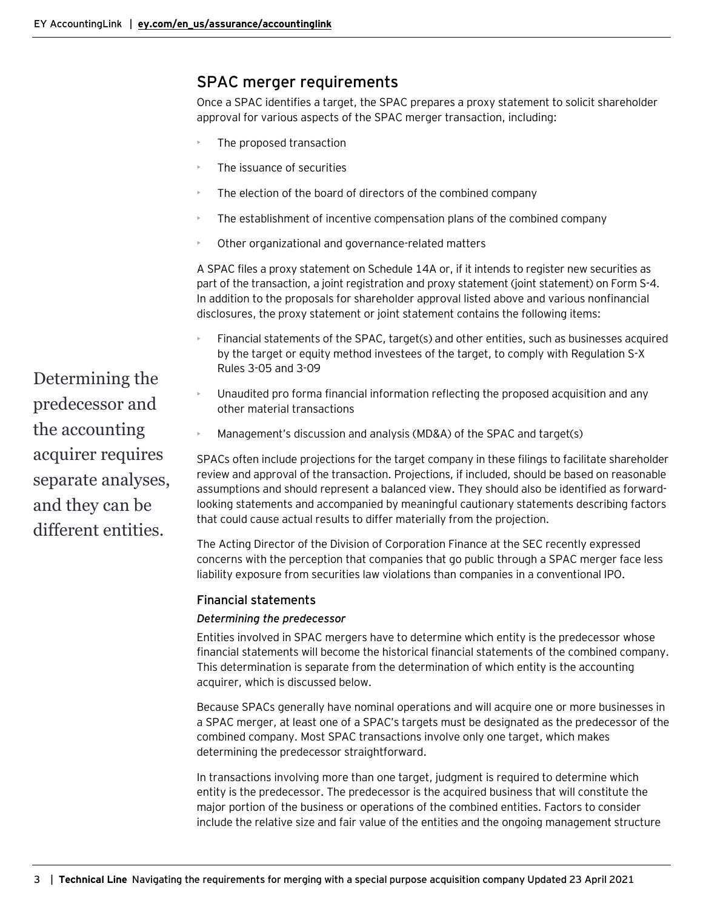# <span id="page-2-0"></span>SPAC merger requirements

Once a SPAC identifies a target, the SPAC prepares a proxy statement to solicit shareholder approval for various aspects of the SPAC merger transaction, including:

- The proposed transaction
- The issuance of securities
- The election of the board of directors of the combined company
- The establishment of incentive compensation plans of the combined company
- Other organizational and governance-related matters

A SPAC files a proxy statement on Schedule 14A or, if it intends to register new securities as part of the transaction, a joint registration and proxy statement (joint statement) on Form S-4. In addition to the proposals for shareholder approval listed above and various nonfinancial disclosures, the proxy statement or joint statement contains the following items:

- Financial statements of the SPAC, target(s) and other entities, such as businesses acquired by the target or equity method investees of the target, to comply with Regulation S-X Rules 3-05 and 3-09
- Unaudited pro forma financial information reflecting the proposed acquisition and any other material transactions
- Management's discussion and analysis (MD&A) of the SPAC and target(s)

SPACs often include projections for the target company in these filings to facilitate shareholder review and approval of the transaction. Projections, if included, should be based on reasonable assumptions and should represent a balanced view. They should also be identified as forwardlooking statements and accompanied by meaningful cautionary statements describing factors that could cause actual results to differ materially from the projection.

The Acting Director of the Division of Corporation Finance at the SEC recently expressed concerns with the perception that companies that go public through a SPAC merger face less liability exposure from securities law violations than companies in a conventional IPO.

## <span id="page-2-1"></span>Financial statements

#### *Determining the predecessor*

Entities involved in SPAC mergers have to determine which entity is the predecessor whose financial statements will become the historical financial statements of the combined company. This determination is separate from the determination of which entity is the accounting acquirer, which is discussed below.

Because SPACs generally have nominal operations and will acquire one or more businesses in a SPAC merger, at least one of a SPAC's targets must be designated as the predecessor of the combined company. Most SPAC transactions involve only one target, which makes determining the predecessor straightforward.

In transactions involving more than one target, judgment is required to determine which entity is the predecessor. The predecessor is the acquired business that will constitute the major portion of the business or operations of the combined entities. Factors to consider include the relative size and fair value of the entities and the ongoing management structure

Determining the predecessor and the accounting acquirer requires separate analyses, and they can be different entities.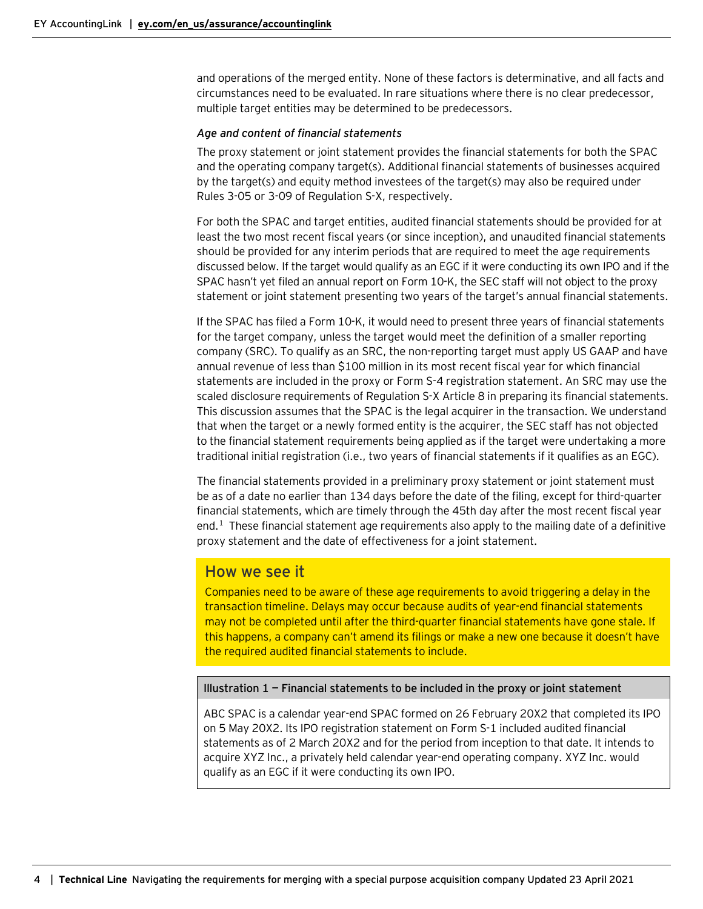and operations of the merged entity. None of these factors is determinative, and all facts and circumstances need to be evaluated. In rare situations where there is no clear predecessor, multiple target entities may be determined to be predecessors.

#### *Age and content of financial statements*

The proxy statement or joint statement provides the financial statements for both the SPAC and the operating company target(s). Additional financial statements of businesses acquired by the target(s) and equity method investees of the target(s) may also be required under Rules 3-05 or 3-09 of Regulation S-X, respectively.

For both the SPAC and target entities, audited financial statements should be provided for at least the two most recent fiscal years (or since inception), and unaudited financial statements should be provided for any interim periods that are required to meet the age requirements discussed below. If the target would qualify as an EGC if it were conducting its own IPO and if the SPAC hasn't yet filed an annual report on Form 10-K, the SEC staff will not object to the proxy statement or joint statement presenting two years of the target's annual financial statements.

If the SPAC has filed a Form 10-K, it would need to present three years of financial statements for the target company, unless the target would meet the definition of a smaller reporting company (SRC). To qualify as an SRC, the non-reporting target must apply US GAAP and have annual revenue of less than \$100 million in its most recent fiscal year for which financial statements are included in the proxy or Form S-4 registration statement. An SRC may use the scaled disclosure requirements of Regulation S-X Article 8 in preparing its financial statements. This discussion assumes that the SPAC is the legal acquirer in the transaction. We understand that when the target or a newly formed entity is the acquirer, the SEC staff has not objected to the financial statement requirements being applied as if the target were undertaking a more traditional initial registration (i.e., two years of financial statements if it qualifies as an EGC).

The financial statements provided in a preliminary proxy statement or joint statement must be as of a date no earlier than 134 days before the date of the filing, except for third-quarter financial statements, which are timely through the 45th day after the most recent fiscal year end. $<sup>1</sup>$  $<sup>1</sup>$  $<sup>1</sup>$  These financial statement age requirements also apply to the mailing date of a definitive</sup> proxy statement and the date of effectiveness for a joint statement.

# How we see it

Companies need to be aware of these age requirements to avoid triggering a delay in the transaction timeline. Delays may occur because audits of year-end financial statements may not be completed until after the third-quarter financial statements have gone stale. If this happens, a company can't amend its filings or make a new one because it doesn't have the required audited financial statements to include.

#### **Illustration 1 — Financial statements to be included in the proxy or joint statement**

ABC SPAC is a calendar year-end SPAC formed on 26 February 20X2 that completed its IPO on 5 May 20X2. Its IPO registration statement on Form S-1 included audited financial statements as of 2 March 20X2 and for the period from inception to that date. It intends to acquire XYZ Inc., a privately held calendar year-end operating company. XYZ Inc. would qualify as an EGC if it were conducting its own IPO.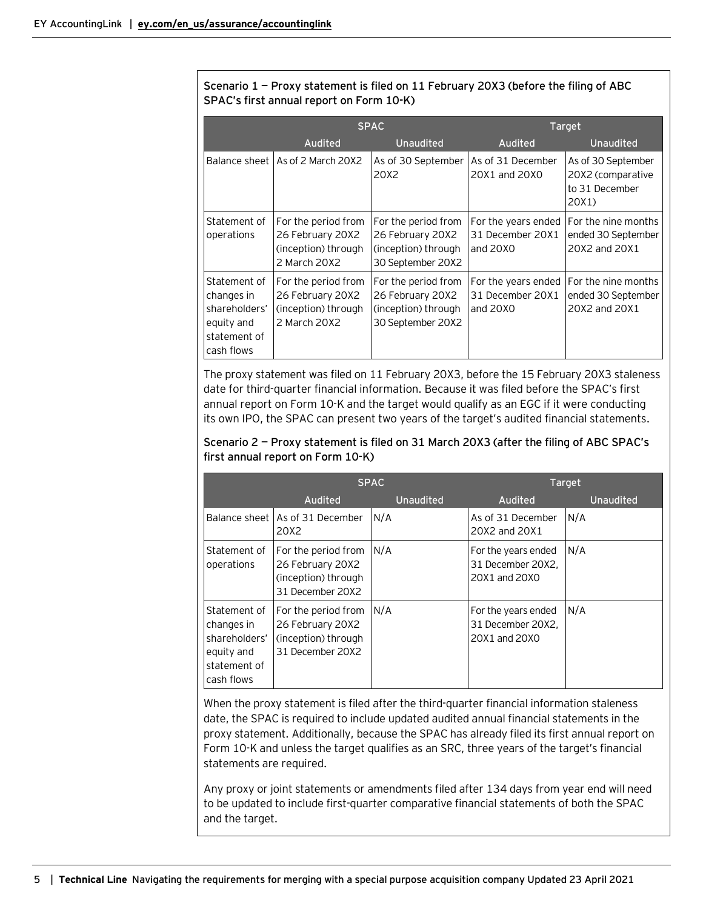## **Scenario 1 — Proxy statement is filed on 11 February 20X3 (before the filing of ABC SPAC's first annual report on Form 10-K)**

|                                                                                         | <b>SPAC</b>                                                                    |                                                                                     | Target                                                |                                                                    |
|-----------------------------------------------------------------------------------------|--------------------------------------------------------------------------------|-------------------------------------------------------------------------------------|-------------------------------------------------------|--------------------------------------------------------------------|
|                                                                                         | Audited                                                                        | <b>Unaudited</b>                                                                    | Audited                                               | Unaudited                                                          |
|                                                                                         | Balance sheet LAs of 2 March 20X2                                              | As of 30 September<br>20X2                                                          | As of 31 December<br>20X1 and 20X0                    | As of 30 September<br>20X2 (comparative<br>to 31 December<br>20X1  |
| Statement of<br>operations                                                              | For the period from<br>26 February 20X2<br>(inception) through<br>2 March 20X2 | For the period from<br>26 February 20X2<br>(inception) through<br>30 September 20X2 | For the years ended<br>31 December 20X1<br>and $20X0$ | <b>IFor the nine months</b><br>ended 30 September<br>20X2 and 20X1 |
| Statement of<br>changes in<br>shareholders'<br>equity and<br>statement of<br>cash flows | For the period from<br>26 February 20X2<br>(inception) through<br>2 March 20X2 | For the period from<br>26 February 20X2<br>(inception) through<br>30 September 20X2 | For the years ended<br>31 December 20X1<br>and $20X0$ | <b>For the nine months</b><br>ended 30 September<br>20X2 and 20X1  |

The proxy statement was filed on 11 February 20X3, before the 15 February 20X3 staleness date for third-quarter financial information. Because it was filed before the SPAC's first annual report on Form 10-K and the target would qualify as an EGC if it were conducting its own IPO, the SPAC can present two years of the target's audited financial statements.

## **Scenario 2 — Proxy statement is filed on 31 March 20X3 (after the filing of ABC SPAC's first annual report on Form 10-K)**

|                                                                                         | <b>SPAC</b>                                                                        |           | Target                                                    |                  |
|-----------------------------------------------------------------------------------------|------------------------------------------------------------------------------------|-----------|-----------------------------------------------------------|------------------|
|                                                                                         | Audited                                                                            | Unaudited | Audited                                                   | <b>Unaudited</b> |
|                                                                                         | Balance sheet As of 31 December<br>20X2                                            | N/A       | As of 31 December<br>20X2 and 20X1                        | N/A              |
| Statement of<br>operations                                                              | For the period from<br>26 February 20X2<br>(inception) through<br>31 December 20X2 | N/A       | For the years ended<br>31 December 20X2.<br>20X1 and 20X0 | N/A              |
| Statement of<br>changes in<br>shareholders'<br>equity and<br>statement of<br>cash flows | For the period from<br>26 February 20X2<br>(inception) through<br>31 December 20X2 | N/A       | For the years ended<br>31 December 20X2,<br>20X1 and 20X0 | N/A              |

When the proxy statement is filed after the third-quarter financial information staleness date, the SPAC is required to include updated audited annual financial statements in the proxy statement. Additionally, because the SPAC has already filed its first annual report on Form 10-K and unless the target qualifies as an SRC, three years of the target's financial statements are required.

Any proxy or joint statements or amendments filed after 134 days from year end will need to be updated to include first-quarter comparative financial statements of both the SPAC and the target.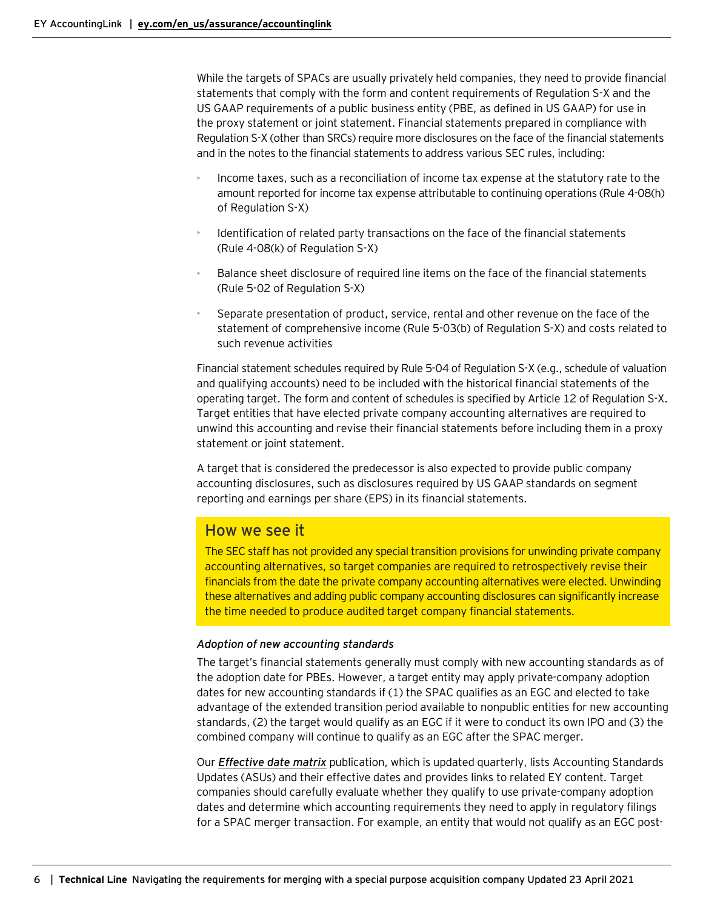While the targets of SPACs are usually privately held companies, they need to provide financial statements that comply with the form and content requirements of Regulation S-X and the US GAAP requirements of a public business entity (PBE, as defined in US GAAP) for use in the proxy statement or joint statement. Financial statements prepared in compliance with Regulation S-X (other than SRCs) require more disclosures on the face of the financial statements and in the notes to the financial statements to address various SEC rules, including:

- Income taxes, such as a reconciliation of income tax expense at the statutory rate to the amount reported for income tax expense attributable to continuing operations (Rule 4-08(h) of Regulation S-X)
- Identification of related party transactions on the face of the financial statements (Rule 4-08(k) of Regulation S-X)
- Balance sheet disclosure of required line items on the face of the financial statements (Rule 5-02 of Regulation S-X)
- Separate presentation of product, service, rental and other revenue on the face of the statement of comprehensive income (Rule 5-03(b) of Regulation S-X) and costs related to such revenue activities

Financial statement schedules required by Rule 5-04 of Regulation S-X (e.g., schedule of valuation and qualifying accounts) need to be included with the historical financial statements of the operating target. The form and content of schedules is specified by Article 12 of Regulation S-X. Target entities that have elected private company accounting alternatives are required to unwind this accounting and revise their financial statements before including them in a proxy statement or joint statement.

A target that is considered the predecessor is also expected to provide public company accounting disclosures, such as disclosures required by US GAAP standards on segment reporting and earnings per share (EPS) in its financial statements.

# How we see it

The SEC staff has not provided any special transition provisions for unwinding private company accounting alternatives, so target companies are required to retrospectively revise their financials from the date the private company accounting alternatives were elected. Unwinding these alternatives and adding public company accounting disclosures can significantly increase the time needed to produce audited target company financial statements.

## *Adoption of new accounting standards*

The target's financial statements generally must comply with new accounting standards as of the adoption date for PBEs. However, a target entity may apply private-company adoption dates for new accounting standards if (1) the SPAC qualifies as an EGC and elected to take advantage of the extended transition period available to nonpublic entities for new accounting standards, (2) the target would qualify as an EGC if it were to conduct its own IPO and (3) the combined company will continue to qualify as an EGC after the SPAC merger.

Our *[Effective date matrix](https://live.atlas.ey.com/#document/2128833?pref=20011/9/147&layers=0&crumb=103)* publication, which is updated quarterly, lists Accounting Standards Updates (ASUs) and their effective dates and provides links to related EY content. Target companies should carefully evaluate whether they qualify to use private-company adoption dates and determine which accounting requirements they need to apply in regulatory filings for a SPAC merger transaction. For example, an entity that would not qualify as an EGC post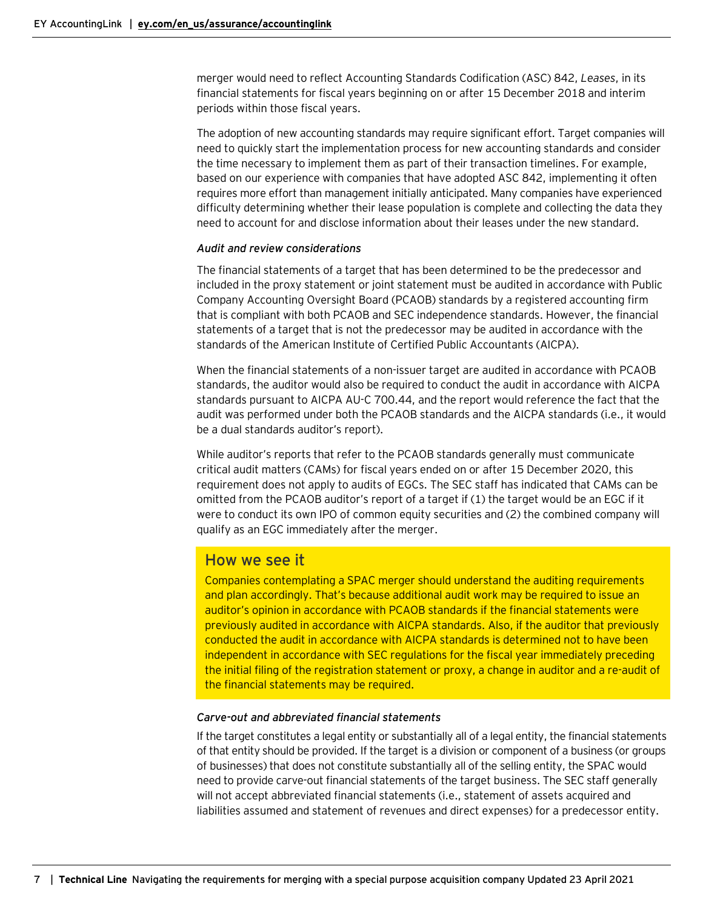merger would need to reflect Accounting Standards Codification (ASC) 842, *Leases*, in its financial statements for fiscal years beginning on or after 15 December 2018 and interim periods within those fiscal years.

The adoption of new accounting standards may require significant effort. Target companies will need to quickly start the implementation process for new accounting standards and consider the time necessary to implement them as part of their transaction timelines. For example, based on our experience with companies that have adopted ASC 842, implementing it often requires more effort than management initially anticipated. Many companies have experienced difficulty determining whether their lease population is complete and collecting the data they need to account for and disclose information about their leases under the new standard.

#### *Audit and review considerations*

The financial statements of a target that has been determined to be the predecessor and included in the proxy statement or joint statement must be audited in accordance with Public Company Accounting Oversight Board (PCAOB) standards by a registered accounting firm that is compliant with both PCAOB and SEC independence standards. However, the financial statements of a target that is not the predecessor may be audited in accordance with the standards of the American Institute of Certified Public Accountants (AICPA).

When the financial statements of a non-issuer target are audited in accordance with PCAOB standards, the auditor would also be required to conduct the audit in accordance with AICPA standards pursuant to AICPA AU-C 700.44, and the report would reference the fact that the audit was performed under both the PCAOB standards and the AICPA standards (i.e., it would be a dual standards auditor's report).

While auditor's reports that refer to the PCAOB standards generally must communicate critical audit matters (CAMs) for fiscal years ended on or after 15 December 2020, this requirement does not apply to audits of EGCs. The SEC staff has indicated that CAMs can be omitted from the PCAOB auditor's report of a target if (1) the target would be an EGC if it were to conduct its own IPO of common equity securities and (2) the combined company will qualify as an EGC immediately after the merger.

# How we see it

Companies contemplating a SPAC merger should understand the auditing requirements and plan accordingly. That's because additional audit work may be required to issue an auditor's opinion in accordance with PCAOB standards if the financial statements were previously audited in accordance with AICPA standards. Also, if the auditor that previously conducted the audit in accordance with AICPA standards is determined not to have been independent in accordance with SEC regulations for the fiscal year immediately preceding the initial filing of the registration statement or proxy, a change in auditor and a re-audit of the financial statements may be required.

#### *Carve-out and abbreviated financial statements*

If the target constitutes a legal entity or substantially all of a legal entity, the financial statements of that entity should be provided. If the target is a division or component of a business (or groups of businesses) that does not constitute substantially all of the selling entity, the SPAC would need to provide carve-out financial statements of the target business. The SEC staff generally will not accept abbreviated financial statements (i.e., statement of assets acquired and liabilities assumed and statement of revenues and direct expenses) for a predecessor entity.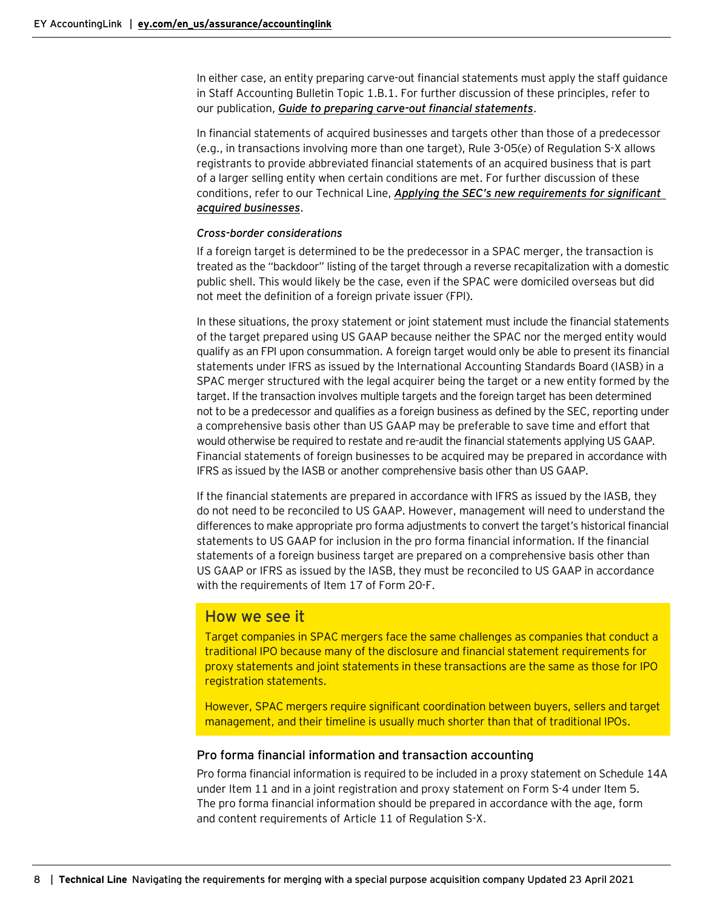In either case, an entity preparing carve-out financial statements must apply the staff guidance in Staff Accounting Bulletin Topic 1.B.1. For further discussion of these principles, refer to our publication, *[Guide to preparing carve-out financial statements](https://www.ey.com/en_us/assurance/accountinglink/guide-to-preparing-carve-out-financial-statements)*.

In financial statements of acquired businesses and targets other than those of a predecessor (e.g., in transactions involving more than one target), Rule 3-05(e) of Regulation S-X allows registrants to provide abbreviated financial statements of an acquired business that is part of a larger selling entity when certain conditions are met. For further discussion of these conditions, refer to our Technical Line, *[Applying the SEC's new requirements for significant](https://www.ey.com/en_us/assurance/accountinglink/technical-line---applying-the-sec-s-new-requirements-for-signifi)  [acquired businesses](https://www.ey.com/en_us/assurance/accountinglink/technical-line---applying-the-sec-s-new-requirements-for-signifi)*.

#### *Cross-border considerations*

If a foreign target is determined to be the predecessor in a SPAC merger, the transaction is treated as the "backdoor" listing of the target through a reverse recapitalization with a domestic public shell. This would likely be the case, even if the SPAC were domiciled overseas but did not meet the definition of a foreign private issuer (FPI).

In these situations, the proxy statement or joint statement must include the financial statements of the target prepared using US GAAP because neither the SPAC nor the merged entity would qualify as an FPI upon consummation. A foreign target would only be able to present its financial statements under IFRS as issued by the International Accounting Standards Board (IASB) in a SPAC merger structured with the legal acquirer being the target or a new entity formed by the target. If the transaction involves multiple targets and the foreign target has been determined not to be a predecessor and qualifies as a foreign business as defined by the SEC, reporting under a comprehensive basis other than US GAAP may be preferable to save time and effort that would otherwise be required to restate and re-audit the financial statements applying US GAAP. Financial statements of foreign businesses to be acquired may be prepared in accordance with IFRS as issued by the IASB or another comprehensive basis other than US GAAP.

If the financial statements are prepared in accordance with IFRS as issued by the IASB, they do not need to be reconciled to US GAAP. However, management will need to understand the differences to make appropriate pro forma adjustments to convert the target's historical financial statements to US GAAP for inclusion in the pro forma financial information. If the financial statements of a foreign business target are prepared on a comprehensive basis other than US GAAP or IFRS as issued by the IASB, they must be reconciled to US GAAP in accordance with the requirements of Item 17 of Form 20-F.

# How we see it

Target companies in SPAC mergers face the same challenges as companies that conduct a traditional IPO because many of the disclosure and financial statement requirements for proxy statements and joint statements in these transactions are the same as those for IPO registration statements.

However, SPAC mergers require significant coordination between buyers, sellers and target management, and their timeline is usually much shorter than that of traditional IPOs.

## <span id="page-7-0"></span>Pro forma financial information and transaction accounting

Pro forma financial information is required to be included in a proxy statement on Schedule 14A under Item 11 and in a joint registration and proxy statement on Form S-4 under Item 5. The pro forma financial information should be prepared in accordance with the age, form and content requirements of Article 11 of Regulation S-X.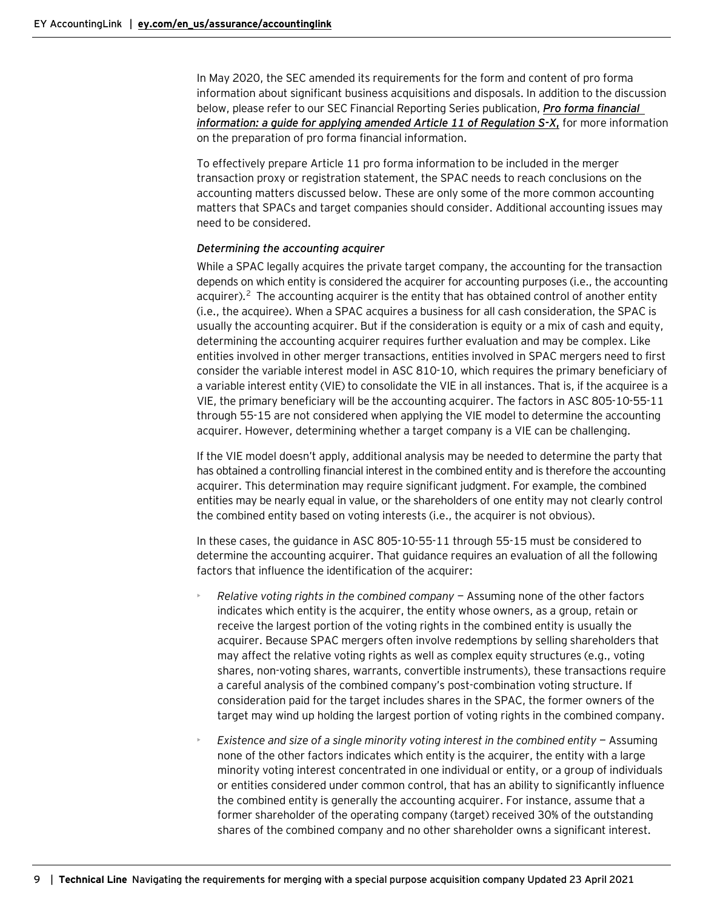In May 2020, the SEC amended its requirements for the form and content of pro forma information about significant business acquisitions and disposals. In addition to the discussion below, please refer to our SEC Financial Reporting Series publication, *[Pro forma financial](https://www.ey.com/en_us/assurance/accountinglink/2020-pro-forma-financial-information---a-guide-for-applying-arti)  information: a [guide for applying amended Article 11 of Regulation](https://www.ey.com/en_us/assurance/accountinglink/2020-pro-forma-financial-information---a-guide-for-applying-arti) S-X***,** for more information on the preparation of pro forma financial information.

To effectively prepare Article 11 pro forma information to be included in the merger transaction proxy or registration statement, the SPAC needs to reach conclusions on the accounting matters discussed below. These are only some of the more common accounting matters that SPACs and target companies should consider. Additional accounting issues may need to be considered.

#### *Determining the accounting acquirer*

While a SPAC legally acquires the private target company, the accounting for the transaction depends on which entity is considered the acquirer for accounting purposes (i.e., the accounting acquirer).<sup>[2](#page-26-0)</sup> The accounting acquirer is the entity that has obtained control of another entity (i.e., the acquiree). When a SPAC acquires a business for all cash consideration, the SPAC is usually the accounting acquirer. But if the consideration is equity or a mix of cash and equity, determining the accounting acquirer requires further evaluation and may be complex. Like entities involved in other merger transactions, entities involved in SPAC mergers need to first consider the variable interest model in ASC 810-10, which requires the primary beneficiary of a variable interest entity (VIE) to consolidate the VIE in all instances. That is, if the acquiree is a VIE, the primary beneficiary will be the accounting acquirer. The factors in ASC 805-10-55-11 through 55-15 are not considered when applying the VIE model to determine the accounting acquirer. However, determining whether a target company is a VIE can be challenging.

If the VIE model doesn't apply, additional analysis may be needed to determine the party that has obtained a controlling financial interest in the combined entity and is therefore the accounting acquirer. This determination may require significant judgment. For example, the combined entities may be nearly equal in value, or the shareholders of one entity may not clearly control the combined entity based on voting interests (i.e., the acquirer is not obvious).

In these cases, the guidance in ASC 805-10-55-11 through 55-15 must be considered to determine the accounting acquirer. That guidance requires an evaluation of all the following factors that influence the identification of the acquirer:

- *Relative voting rights in the combined company* Assuming none of the other factors indicates which entity is the acquirer, the entity whose owners, as a group, retain or receive the largest portion of the voting rights in the combined entity is usually the acquirer. Because SPAC mergers often involve redemptions by selling shareholders that may affect the relative voting rights as well as complex equity structures (e.g., voting shares, non-voting shares, warrants, convertible instruments), these transactions require a careful analysis of the combined company's post-combination voting structure. If consideration paid for the target includes shares in the SPAC, the former owners of the target may wind up holding the largest portion of voting rights in the combined company.
- *Existence and size of a single minority voting interest in the combined entity* Assuming none of the other factors indicates which entity is the acquirer, the entity with a large minority voting interest concentrated in one individual or entity, or a group of individuals or entities considered under common control, that has an ability to significantly influence the combined entity is generally the accounting acquirer. For instance, assume that a former shareholder of the operating company (target) received 30% of the outstanding shares of the combined company and no other shareholder owns a significant interest.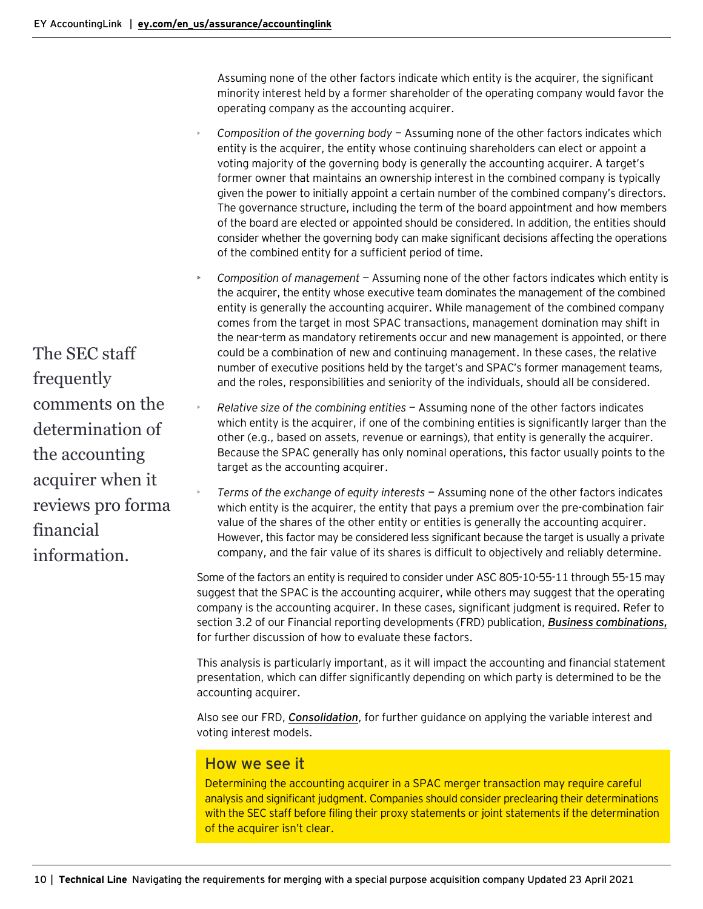Assuming none of the other factors indicate which entity is the acquirer, the significant minority interest held by a former shareholder of the operating company would favor the operating company as the accounting acquirer.

- *Composition of the governing body* Assuming none of the other factors indicates which entity is the acquirer, the entity whose continuing shareholders can elect or appoint a voting majority of the governing body is generally the accounting acquirer. A target's former owner that maintains an ownership interest in the combined company is typically given the power to initially appoint a certain number of the combined company's directors. The governance structure, including the term of the board appointment and how members of the board are elected or appointed should be considered. In addition, the entities should consider whether the governing body can make significant decisions affecting the operations of the combined entity for a sufficient period of time.
- *Composition of management* Assuming none of the other factors indicates which entity is the acquirer, the entity whose executive team dominates the management of the combined entity is generally the accounting acquirer. While management of the combined company comes from the target in most SPAC transactions, management domination may shift in the near-term as mandatory retirements occur and new management is appointed, or there could be a combination of new and continuing management. In these cases, the relative number of executive positions held by the target's and SPAC's former management teams, and the roles, responsibilities and seniority of the individuals, should all be considered.
- *Relative size of the combining entities* Assuming none of the other factors indicates which entity is the acquirer, if one of the combining entities is significantly larger than the other (e.g., based on assets, revenue or earnings), that entity is generally the acquirer. Because the SPAC generally has only nominal operations, this factor usually points to the target as the accounting acquirer.
	- *Terms of the exchange of equity interests* Assuming none of the other factors indicates which entity is the acquirer, the entity that pays a premium over the pre-combination fair value of the shares of the other entity or entities is generally the accounting acquirer. However, this factor may be considered less significant because the target is usually a private company, and the fair value of its shares is difficult to objectively and reliably determine.

Some of the factors an entity is required to consider under ASC 805-10-55-11 through 55-15 may suggest that the SPAC is the accounting acquirer, while others may suggest that the operating company is the accounting acquirer. In these cases, significant judgment is required. Refer to section 3.2 of our Financial reporting developments (FRD) publication, *[Business combinations](https://www.ey.com/en_us/assurance/accountinglink/financial-reporting-developments---business-combinations)***,** for further discussion of how to evaluate these factors.

This analysis is particularly important, as it will impact the accounting and financial statement presentation, which can differ significantly depending on which party is determined to be the accounting acquirer.

Also see our FRD, *[Consolidation](https://www.ey.com/en_us/assurance/accountinglink/financial-reporting-developments---consolidation--determination-)*, for further guidance on applying the variable interest and voting interest models.

# How we see it

Determining the accounting acquirer in a SPAC merger transaction may require careful analysis and significant judgment. Companies should consider preclearing their determinations with the SEC staff before filing their proxy statements or joint statements if the determination of the acquirer isn't clear.

The SEC staff frequently comments on the determination of the accounting acquirer when it reviews pro forma financial information.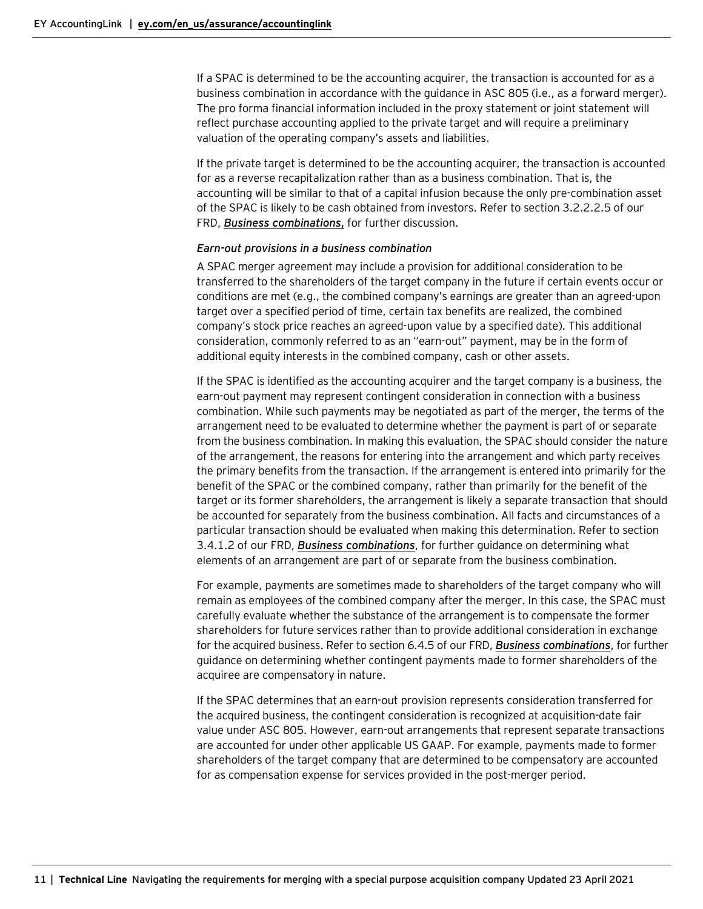If a SPAC is determined to be the accounting acquirer, the transaction is accounted for as a business combination in accordance with the guidance in ASC 805 (i.e., as a forward merger). The pro forma financial information included in the proxy statement or joint statement will reflect purchase accounting applied to the private target and will require a preliminary valuation of the operating company's assets and liabilities.

If the private target is determined to be the accounting acquirer, the transaction is accounted for as a reverse recapitalization rather than as a business combination. That is, the accounting will be similar to that of a capital infusion because the only pre-combination asset of the SPAC is likely to be cash obtained from investors. Refer to section 3.2.2.2.5 of our FRD, *[Business combinations](https://www.ey.com/en_us/assurance/accountinglink/financial-reporting-developments---business-combinations)***,** for further discussion.

#### *Earn-out provisions in a business combination*

A SPAC merger agreement may include a provision for additional consideration to be transferred to the shareholders of the target company in the future if certain events occur or conditions are met (e.g., the combined company's earnings are greater than an agreed-upon target over a specified period of time, certain tax benefits are realized, the combined company's stock price reaches an agreed-upon value by a specified date). This additional consideration, commonly referred to as an "earn-out" payment, may be in the form of additional equity interests in the combined company, cash or other assets.

If the SPAC is identified as the accounting acquirer and the target company is a business, the earn-out payment may represent contingent consideration in connection with a business combination. While such payments may be negotiated as part of the merger, the terms of the arrangement need to be evaluated to determine whether the payment is part of or separate from the business combination. In making this evaluation, the SPAC should consider the nature of the arrangement, the reasons for entering into the arrangement and which party receives the primary benefits from the transaction. If the arrangement is entered into primarily for the benefit of the SPAC or the combined company, rather than primarily for the benefit of the target or its former shareholders, the arrangement is likely a separate transaction that should be accounted for separately from the business combination. All facts and circumstances of a particular transaction should be evaluated when making this determination. Refer to section 3.4.1.2 of our FRD, *[Business combinations](https://www.ey.com/en_us/assurance/accountinglink/financial-reporting-developments---business-combinations)*, for further guidance on determining what elements of an arrangement are part of or separate from the business combination.

For example, payments are sometimes made to shareholders of the target company who will remain as employees of the combined company after the merger. In this case, the SPAC must carefully evaluate whether the substance of the arrangement is to compensate the former shareholders for future services rather than to provide additional consideration in exchange for the acquired business. Refer to section 6.4.5 of our FRD, *[Business combinations](https://www.ey.com/en_us/assurance/accountinglink/financial-reporting-developments---business-combinations)*, for further guidance on determining whether contingent payments made to former shareholders of the acquiree are compensatory in nature.

If the SPAC determines that an earn-out provision represents consideration transferred for the acquired business, the contingent consideration is recognized at acquisition-date fair value under ASC 805. However, earn-out arrangements that represent separate transactions are accounted for under other applicable US GAAP. For example, payments made to former shareholders of the target company that are determined to be compensatory are accounted for as compensation expense for services provided in the post-merger period.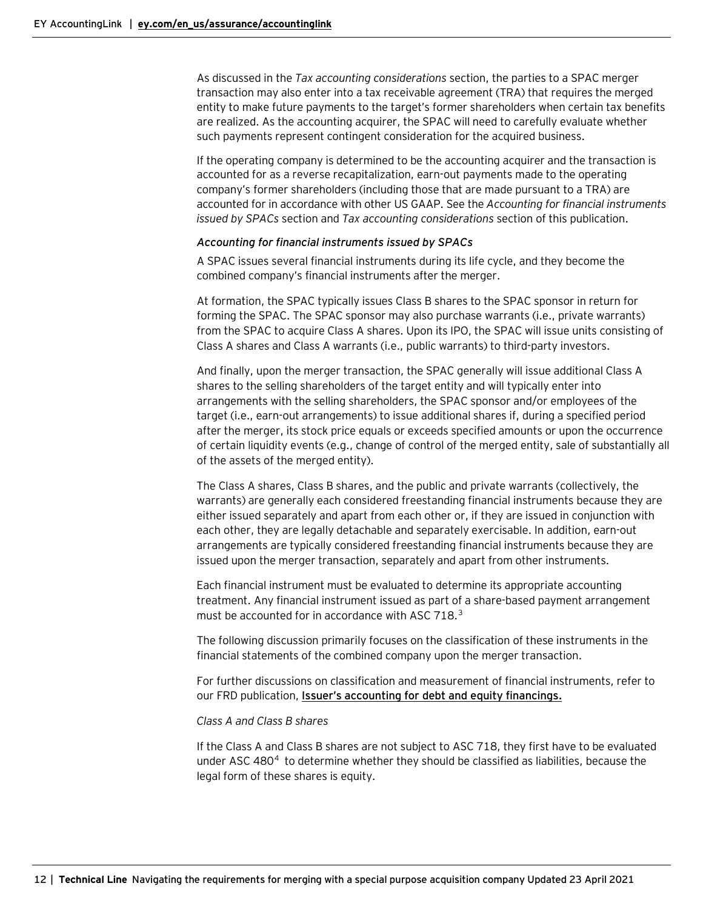As discussed in the *Tax accounting considerations* section, the parties to a SPAC merger transaction may also enter into a tax receivable agreement (TRA) that requires the merged entity to make future payments to the target's former shareholders when certain tax benefits are realized. As the accounting acquirer, the SPAC will need to carefully evaluate whether such payments represent contingent consideration for the acquired business.

If the operating company is determined to be the accounting acquirer and the transaction is accounted for as a reverse recapitalization, earn-out payments made to the operating company's former shareholders (including those that are made pursuant to a TRA) are accounted for in accordance with other US GAAP. See the *Accounting for financial instruments issued by SPACs* section and *Tax accounting considerations* section of this publication.

#### *Accounting for financial instruments issued by SPACs*

A SPAC issues several financial instruments during its life cycle, and they become the combined company's financial instruments after the merger.

At formation, the SPAC typically issues Class B shares to the SPAC sponsor in return for forming the SPAC. The SPAC sponsor may also purchase warrants (i.e., private warrants) from the SPAC to acquire Class A shares. Upon its IPO, the SPAC will issue units consisting of Class A shares and Class A warrants (i.e., public warrants) to third-party investors.

And finally, upon the merger transaction, the SPAC generally will issue additional Class A shares to the selling shareholders of the target entity and will typically enter into arrangements with the selling shareholders, the SPAC sponsor and/or employees of the target (i.e., earn-out arrangements) to issue additional shares if, during a specified period after the merger, its stock price equals or exceeds specified amounts or upon the occurrence of certain liquidity events (e.g., change of control of the merged entity, sale of substantially all of the assets of the merged entity).

The Class A shares, Class B shares, and the public and private warrants (collectively, the warrants) are generally each considered freestanding financial instruments because they are either issued separately and apart from each other or, if they are issued in conjunction with each other, they are legally detachable and separately exercisable. In addition, earn-out arrangements are typically considered freestanding financial instruments because they are issued upon the merger transaction, separately and apart from other instruments.

Each financial instrument must be evaluated to determine its appropriate accounting treatment. Any financial instrument issued as part of a share-based payment arrangement must be accounted for in accordance with ASC 718.<sup>[3](#page-26-0)</sup>

The following discussion primarily focuses on the classification of these instruments in the financial statements of the combined company upon the merger transaction.

For further discussions on classification and measurement of financial instruments, refer to our FRD publication, **[Issuer's accounting for debt and equity financings](https://www.ey.com/en_us/assurance/accountinglink/financial-reporting-developments----issuer-s-accounting-for-debt)***.*

#### *Class A and Class B shares*

If the Class A and Class B shares are not subject to ASC 718, they first have to be evaluated under ASC  $480<sup>4</sup>$  $480<sup>4</sup>$  to determine whether they should be classified as liabilities, because the legal form of these shares is equity.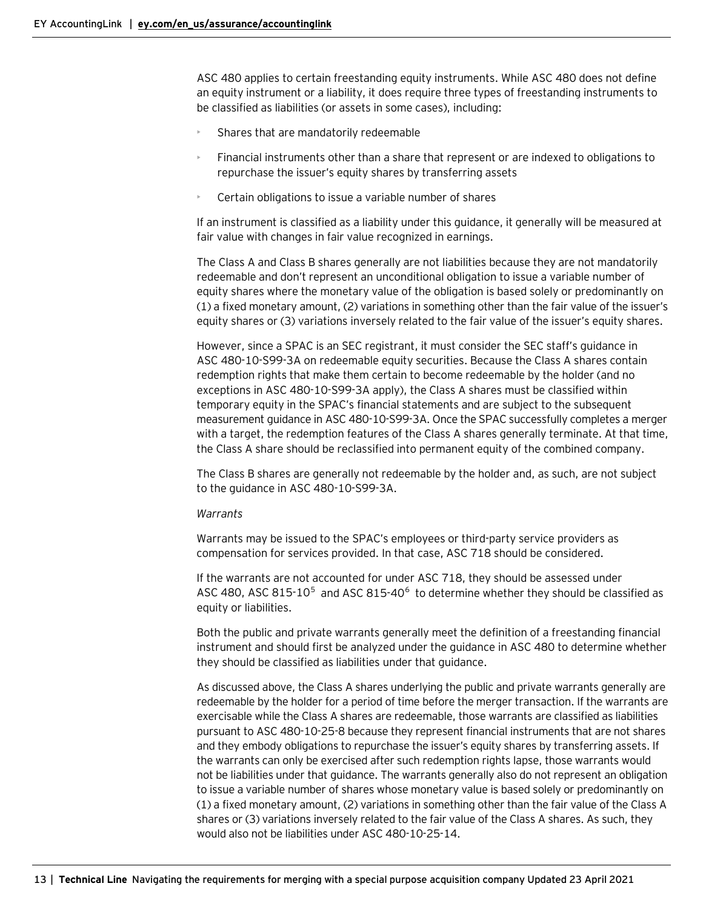ASC 480 applies to certain freestanding equity instruments. While ASC 480 does not define an equity instrument or a liability, it does require three types of freestanding instruments to be classified as liabilities (or assets in some cases), including:

- Shares that are mandatorily redeemable
- Financial instruments other than a share that represent or are indexed to obligations to repurchase the issuer's equity shares by transferring assets
- Certain obligations to issue a variable number of shares

If an instrument is classified as a liability under this guidance, it generally will be measured at fair value with changes in fair value recognized in earnings.

The Class A and Class B shares generally are not liabilities because they are not mandatorily redeemable and don't represent an unconditional obligation to issue a variable number of equity shares where the monetary value of the obligation is based solely or predominantly on (1) a fixed monetary amount, (2) variations in something other than the fair value of the issuer's equity shares or (3) variations inversely related to the fair value of the issuer's equity shares.

However, since a SPAC is an SEC registrant, it must consider the SEC staff's guidance in ASC 480-10-S99-3A on redeemable equity securities. Because the Class A shares contain redemption rights that make them certain to become redeemable by the holder (and no exceptions in ASC 480-10-S99-3A apply), the Class A shares must be classified within temporary equity in the SPAC's financial statements and are subject to the subsequent measurement guidance in ASC 480-10-S99-3A. Once the SPAC successfully completes a merger with a target, the redemption features of the Class A shares generally terminate. At that time, the Class A share should be reclassified into permanent equity of the combined company.

The Class B shares are generally not redeemable by the holder and, as such, are not subject to the guidance in ASC 480-10-S99-3A.

#### *Warrants*

Warrants may be issued to the SPAC's employees or third-party service providers as compensation for services provided. In that case, ASC 718 should be considered.

If the warrants are not accounted for under ASC 718, they should be assessed under ASC 480, ASC 81[5](#page-26-0)-10<sup>5</sup> and ASC 815-40<sup>[6](#page-26-0)</sup> to determine whether they should be classified as equity or liabilities.

Both the public and private warrants generally meet the definition of a freestanding financial instrument and should first be analyzed under the guidance in ASC 480 to determine whether they should be classified as liabilities under that guidance.

As discussed above, the Class A shares underlying the public and private warrants generally are redeemable by the holder for a period of time before the merger transaction. If the warrants are exercisable while the Class A shares are redeemable, those warrants are classified as liabilities pursuant to ASC 480-10-25-8 because they represent financial instruments that are not shares and they embody obligations to repurchase the issuer's equity shares by transferring assets. If the warrants can only be exercised after such redemption rights lapse, those warrants would not be liabilities under that guidance. The warrants generally also do not represent an obligation to issue a variable number of shares whose monetary value is based solely or predominantly on (1) a fixed monetary amount, (2) variations in something other than the fair value of the Class A shares or (3) variations inversely related to the fair value of the Class A shares. As such, they would also not be liabilities under ASC 480-10-25-14.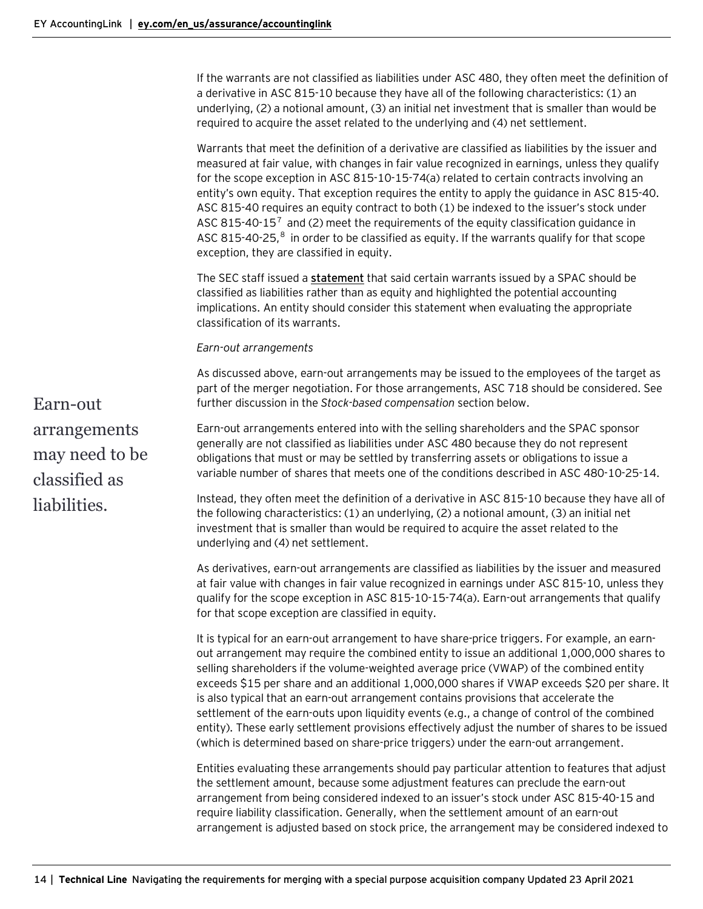If the warrants are not classified as liabilities under ASC 480, they often meet the definition of a derivative in ASC 815-10 because they have all of the following characteristics: (1) an underlying, (2) a notional amount, (3) an initial net investment that is smaller than would be required to acquire the asset related to the underlying and (4) net settlement.

Warrants that meet the definition of a derivative are classified as liabilities by the issuer and measured at fair value, with changes in fair value recognized in earnings, unless they qualify for the scope exception in ASC 815-10-15-74(a) related to certain contracts involving an entity's own equity. That exception requires the entity to apply the guidance in ASC 815-40. ASC 815-40 requires an equity contract to both (1) be indexed to the issuer's stock under ASC 815-40-15<sup>[7](#page-26-0)</sup> and (2) meet the requirements of the equity classification guidance in ASC [8](#page-26-0)15-40-25, $8$  in order to be classified as equity. If the warrants qualify for that scope exception, they are classified in equity.

The SEC staff issued a **[statement](https://www.sec.gov/news/public-statement/accounting-reporting-warrants-issued-spacs?utm_medium=email&utm_source=govdelivery)** that said certain warrants issued by a SPAC should be classified as liabilities rather than as equity and highlighted the potential accounting implications. An entity should consider this statement when evaluating the appropriate classification of its warrants.

*Earn-out arrangements*

As discussed above, earn-out arrangements may be issued to the employees of the target as part of the merger negotiation. For those arrangements, ASC 718 should be considered. See further discussion in the *Stock-based compensation* section below.

Earn-out arrangements may need to be classified as liabilities.

Earn-out arrangements entered into with the selling shareholders and the SPAC sponsor generally are not classified as liabilities under ASC 480 because they do not represent obligations that must or may be settled by transferring assets or obligations to issue a variable number of shares that meets one of the conditions described in ASC 480-10-25-14.

Instead, they often meet the definition of a derivative in ASC 815-10 because they have all of the following characteristics: (1) an underlying, (2) a notional amount, (3) an initial net investment that is smaller than would be required to acquire the asset related to the underlying and (4) net settlement.

As derivatives, earn-out arrangements are classified as liabilities by the issuer and measured at fair value with changes in fair value recognized in earnings under ASC 815-10, unless they qualify for the scope exception in ASC 815-10-15-74(a). Earn-out arrangements that qualify for that scope exception are classified in equity.

It is typical for an earn-out arrangement to have share-price triggers. For example, an earnout arrangement may require the combined entity to issue an additional 1,000,000 shares to selling shareholders if the volume-weighted average price (VWAP) of the combined entity exceeds \$15 per share and an additional 1,000,000 shares if VWAP exceeds \$20 per share. It is also typical that an earn-out arrangement contains provisions that accelerate the settlement of the earn-outs upon liquidity events (e.g., a change of control of the combined entity). These early settlement provisions effectively adjust the number of shares to be issued (which is determined based on share-price triggers) under the earn-out arrangement.

Entities evaluating these arrangements should pay particular attention to features that adjust the settlement amount, because some adjustment features can preclude the earn-out arrangement from being considered indexed to an issuer's stock under ASC 815-40-15 and require liability classification. Generally, when the settlement amount of an earn-out arrangement is adjusted based on stock price, the arrangement may be considered indexed to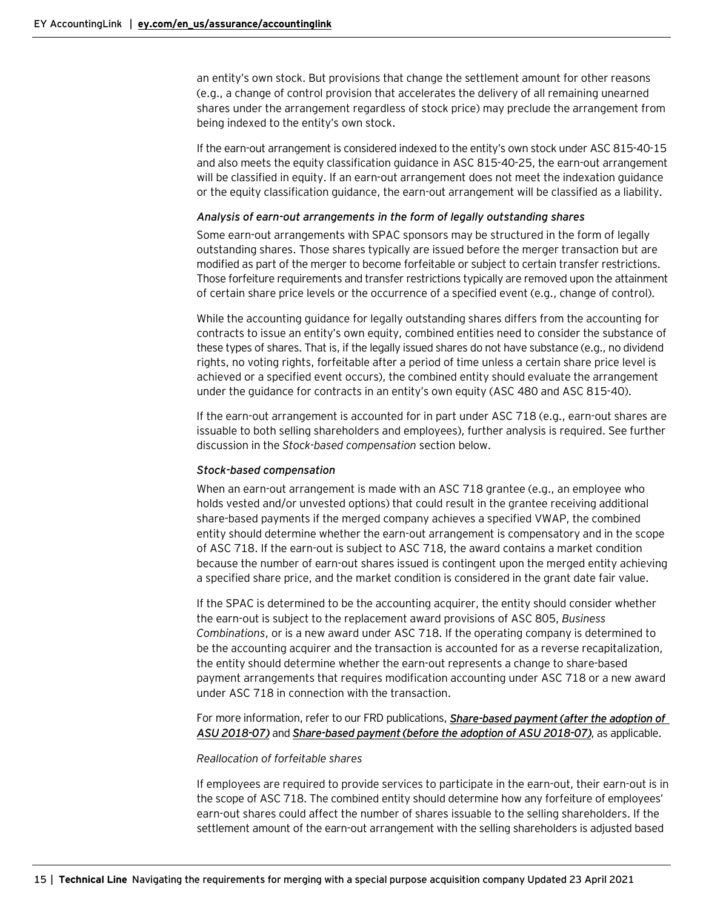an entity's own stock. But provisions that change the settlement amount for other reasons (e.g., a change of control provision that accelerates the delivery of all remaining unearned shares under the arrangement regardless of stock price) may preclude the arrangement from being indexed to the entity's own stock.

If the earn-out arrangement is considered indexed to the entity's own stock under ASC 815-40-15 and also meets the equity classification guidance in ASC 815-40-25, the earn-out arrangement will be classified in equity. If an earn-out arrangement does not meet the indexation guidance or the equity classification guidance, the earn-out arrangement will be classified as a liability.

#### *Analysis of earn-out arrangements in the form of legally outstanding shares*

Some earn-out arrangements with SPAC sponsors may be structured in the form of legally outstanding shares. Those shares typically are issued before the merger transaction but are modified as part of the merger to become forfeitable or subject to certain transfer restrictions. Those forfeiture requirements and transfer restrictions typically are removed upon the attainment of certain share price levels or the occurrence of a specified event (e.g., change of control).

While the accounting guidance for legally outstanding shares differs from the accounting for contracts to issue an entity's own equity, combined entities need to consider the substance of these types of shares. That is, if the legally issued shares do not have substance (e.g., no dividend rights, no voting rights, forfeitable after a period of time unless a certain share price level is achieved or a specified event occurs), the combined entity should evaluate the arrangement under the guidance for contracts in an entity's own equity (ASC 480 and ASC 815-40).

If the earn-out arrangement is accounted for in part under ASC 718 (e.g., earn-out shares are issuable to both selling shareholders and employees), further analysis is required. See further discussion in the *Stock-based compensation* section below.

#### *Stock-based compensation*

When an earn-out arrangement is made with an ASC 718 grantee (e.g., an employee who holds vested and/or unvested options) that could result in the grantee receiving additional share-based payments if the merged company achieves a specified VWAP, the combined entity should determine whether the earn-out arrangement is compensatory and in the scope of ASC 718. If the earn-out is subject to ASC 718, the award contains a market condition because the number of earn-out shares issued is contingent upon the merged entity achieving a specified share price, and the market condition is considered in the grant date fair value.

If the SPAC is determined to be the accounting acquirer, the entity should consider whether the earn-out is subject to the replacement award provisions of ASC 805, *Business Combinations*, or is a new award under ASC 718. If the operating company is determined to be the accounting acquirer and the transaction is accounted for as a reverse recapitalization, the entity should determine whether the earn-out represents a change to share-based payment arrangements that requires modification accounting under ASC 718 or a new award under ASC 718 in connection with the transaction.

For more information, refer to our FRD publications, *[Share-based payment \(after the adoption of](https://live.atlas.ey.com/#document/1751757?pref=20011/9/147&crumb=104)  [ASU 2018-07\)](https://live.atlas.ey.com/#document/1751757?pref=20011/9/147&crumb=104)* and *[Share-based payment \(before the adoption of ASU 2018-07\)](https://live.atlas.ey.com/#document/485958?pref=20011/9/147&crumb=104)*, as applicable.

#### *Reallocation of forfeitable shares*

If employees are required to provide services to participate in the earn-out, their earn-out is in the scope of ASC 718. The combined entity should determine how any forfeiture of employees' earn-out shares could affect the number of shares issuable to the selling shareholders. If the settlement amount of the earn-out arrangement with the selling shareholders is adjusted based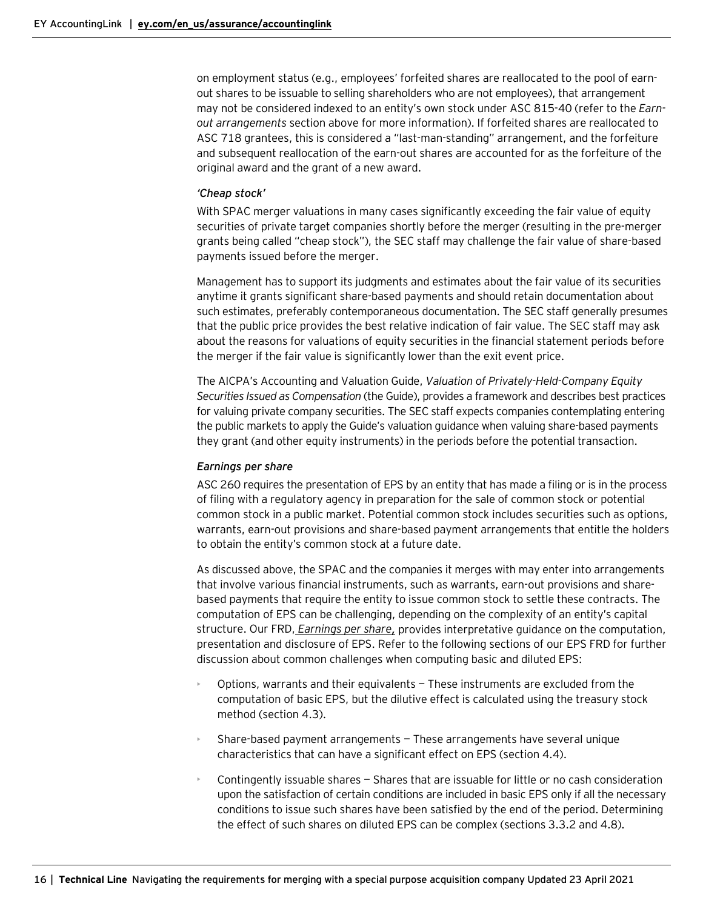on employment status (e.g., employees' forfeited shares are reallocated to the pool of earnout shares to be issuable to selling shareholders who are not employees), that arrangement may not be considered indexed to an entity's own stock under ASC 815-40 (refer to the *Earnout arrangements* section above for more information). If forfeited shares are reallocated to ASC 718 grantees, this is considered a "last-man-standing" arrangement, and the forfeiture and subsequent reallocation of the earn-out shares are accounted for as the forfeiture of the original award and the grant of a new award.

#### *'Cheap stock'*

With SPAC merger valuations in many cases significantly exceeding the fair value of equity securities of private target companies shortly before the merger (resulting in the pre-merger grants being called "cheap stock"), the SEC staff may challenge the fair value of share-based payments issued before the merger.

Management has to support its judgments and estimates about the fair value of its securities anytime it grants significant share-based payments and should retain documentation about such estimates, preferably contemporaneous documentation. The SEC staff generally presumes that the public price provides the best relative indication of fair value. The SEC staff may ask about the reasons for valuations of equity securities in the financial statement periods before the merger if the fair value is significantly lower than the exit event price.

The AICPA's Accounting and Valuation Guide, *Valuation of Privately-Held-Company Equity Securities Issued as Compensation* (the Guide), provides a framework and describes best practices for valuing private company securities. The SEC staff expects companies contemplating entering the public markets to apply the Guide's valuation guidance when valuing share-based payments they grant (and other equity instruments) in the periods before the potential transaction.

#### *Earnings per share*

ASC 260 requires the presentation of EPS by an entity that has made a filing or is in the process of filing with a regulatory agency in preparation for the sale of common stock or potential common stock in a public market. Potential common stock includes securities such as options, warrants, earn-out provisions and share-based payment arrangements that entitle the holders to obtain the entity's common stock at a future date.

As discussed above, the SPAC and the companies it merges with may enter into arrangements that involve various financial instruments, such as warrants, earn-out provisions and sharebased payments that require the entity to issue common stock to settle these contracts. The computation of EPS can be challenging, depending on the complexity of an entity's capital structure. Our FRD, *[Earnings per share](https://www.ey.com/en_us/assurance/accountinglink/financial-reporting-developments---earnings-per-share0),* provides interpretative guidance on the computation, presentation and disclosure of EPS. Refer to the following sections of our EPS FRD for further discussion about common challenges when computing basic and diluted EPS:

- Options, warrants and their equivalents These instruments are excluded from the computation of basic EPS, but the dilutive effect is calculated using the treasury stock method (section 4.3).
- Share-based payment arrangements These arrangements have several unique characteristics that can have a significant effect on EPS (section 4.4).
- Contingently issuable shares Shares that are issuable for little or no cash consideration upon the satisfaction of certain conditions are included in basic EPS only if all the necessary conditions to issue such shares have been satisfied by the end of the period. Determining the effect of such shares on diluted EPS can be complex (sections 3.3.2 and 4.8).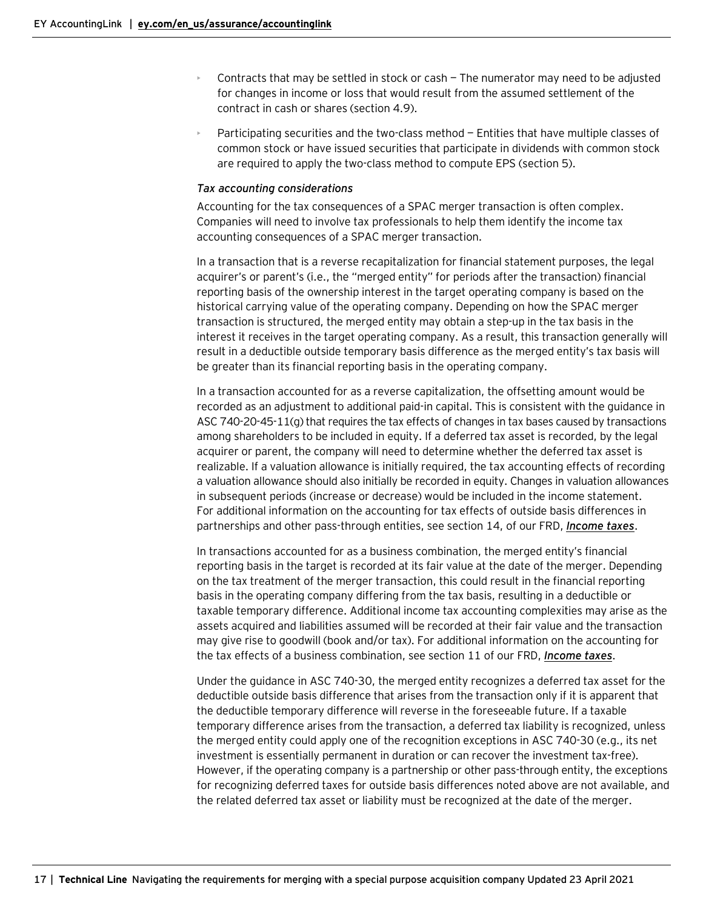- Contracts that may be settled in stock or cash  $-$  The numerator may need to be adjusted for changes in income or loss that would result from the assumed settlement of the contract in cash or shares (section 4.9).
- Participating securities and the two-class method Entities that have multiple classes of common stock or have issued securities that participate in dividends with common stock are required to apply the two-class method to compute EPS (section 5).

#### *Tax accounting considerations*

Accounting for the tax consequences of a SPAC merger transaction is often complex. Companies will need to involve tax professionals to help them identify the income tax accounting consequences of a SPAC merger transaction.

In a transaction that is a reverse recapitalization for financial statement purposes, the legal acquirer's or parent's (i.e., the "merged entity" for periods after the transaction) financial reporting basis of the ownership interest in the target operating company is based on the historical carrying value of the operating company. Depending on how the SPAC merger transaction is structured, the merged entity may obtain a step-up in the tax basis in the interest it receives in the target operating company. As a result, this transaction generally will result in a deductible outside temporary basis difference as the merged entity's tax basis will be greater than its financial reporting basis in the operating company.

In a transaction accounted for as a reverse capitalization, the offsetting amount would be recorded as an adjustment to additional paid-in capital. This is consistent with the guidance in ASC 740-20-45-11(g) that requires the tax effects of changes in tax bases caused by transactions among shareholders to be included in equity. If a deferred tax asset is recorded, by the legal acquirer or parent, the company will need to determine whether the deferred tax asset is realizable. If a valuation allowance is initially required, the tax accounting effects of recording a valuation allowance should also initially be recorded in equity. Changes in valuation allowances in subsequent periods (increase or decrease) would be included in the income statement. For additional information on the accounting for tax effects of outside basis differences in partnerships and other pass-through entities, see section 14, of our FRD, *[Income taxes](https://www.ey.com/en_us/assurance/accountinglink/financial-reporting-developments---income-taxes-)*.

In transactions accounted for as a business combination, the merged entity's financial reporting basis in the target is recorded at its fair value at the date of the merger. Depending on the tax treatment of the merger transaction, this could result in the financial reporting basis in the operating company differing from the tax basis, resulting in a deductible or taxable temporary difference. Additional income tax accounting complexities may arise as the assets acquired and liabilities assumed will be recorded at their fair value and the transaction may give rise to goodwill (book and/or tax). For additional information on the accounting for the tax effects of a business combination, see section 11 of our FRD, *[Income taxes](https://www.ey.com/en_us/assurance/accountinglink/financial-reporting-developments---income-taxes-)*.

Under the guidance in ASC 740-30, the merged entity recognizes a deferred tax asset for the deductible outside basis difference that arises from the transaction only if it is apparent that the deductible temporary difference will reverse in the foreseeable future. If a taxable temporary difference arises from the transaction, a deferred tax liability is recognized, unless the merged entity could apply one of the recognition exceptions in ASC 740-30 (e.g., its net investment is essentially permanent in duration or can recover the investment tax-free). However, if the operating company is a partnership or other pass-through entity, the exceptions for recognizing deferred taxes for outside basis differences noted above are not available, and the related deferred tax asset or liability must be recognized at the date of the merger.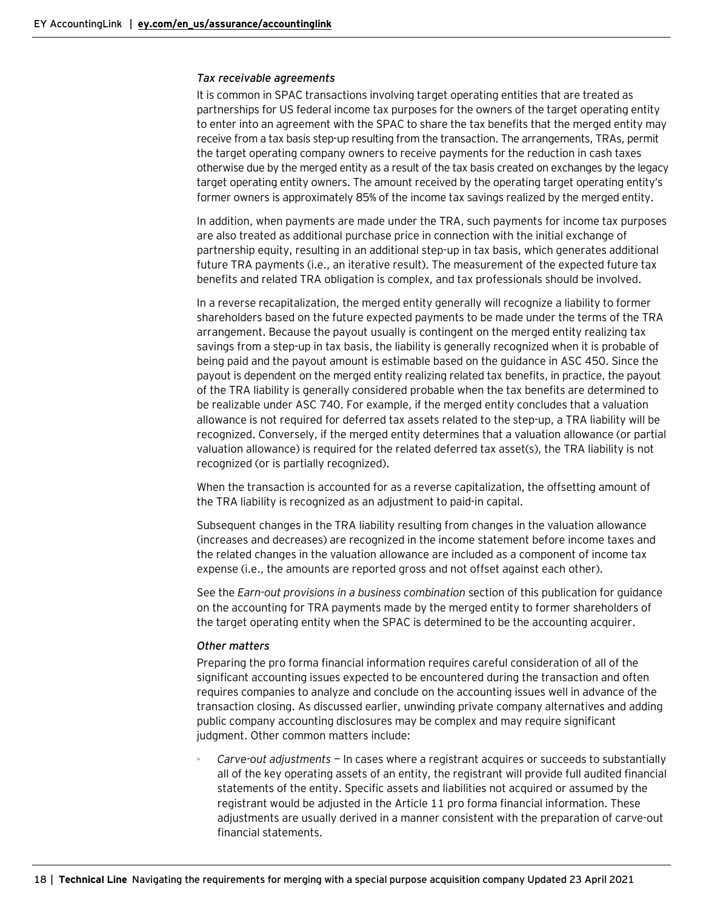#### *Tax receivable agreements*

It is common in SPAC transactions involving target operating entities that are treated as partnerships for US federal income tax purposes for the owners of the target operating entity to enter into an agreement with the SPAC to share the tax benefits that the merged entity may receive from a tax basis step-up resulting from the transaction. The arrangements, TRAs, permit the target operating company owners to receive payments for the reduction in cash taxes otherwise due by the merged entity as a result of the tax basis created on exchanges by the legacy target operating entity owners. The amount received by the operating target operating entity's former owners is approximately 85% of the income tax savings realized by the merged entity.

In addition, when payments are made under the TRA, such payments for income tax purposes are also treated as additional purchase price in connection with the initial exchange of partnership equity, resulting in an additional step-up in tax basis, which generates additional future TRA payments (i.e., an iterative result). The measurement of the expected future tax benefits and related TRA obligation is complex, and tax professionals should be involved.

In a reverse recapitalization, the merged entity generally will recognize a liability to former shareholders based on the future expected payments to be made under the terms of the TRA arrangement. Because the payout usually is contingent on the merged entity realizing tax savings from a step-up in tax basis, the liability is generally recognized when it is probable of being paid and the payout amount is estimable based on the guidance in ASC 450. Since the payout is dependent on the merged entity realizing related tax benefits, in practice, the payout of the TRA liability is generally considered probable when the tax benefits are determined to be realizable under ASC 740. For example, if the merged entity concludes that a valuation allowance is not required for deferred tax assets related to the step-up, a TRA liability will be recognized. Conversely, if the merged entity determines that a valuation allowance (or partial valuation allowance) is required for the related deferred tax asset(s), the TRA liability is not recognized (or is partially recognized).

When the transaction is accounted for as a reverse capitalization, the offsetting amount of the TRA liability is recognized as an adjustment to paid-in capital.

Subsequent changes in the TRA liability resulting from changes in the valuation allowance (increases and decreases) are recognized in the income statement before income taxes and the related changes in the valuation allowance are included as a component of income tax expense (i.e., the amounts are reported gross and not offset against each other).

See the *Earn-out provisions in a business combination* section of this publication for guidance on the accounting for TRA payments made by the merged entity to former shareholders of the target operating entity when the SPAC is determined to be the accounting acquirer.

#### *Other matters*

Preparing the pro forma financial information requires careful consideration of all of the significant accounting issues expected to be encountered during the transaction and often requires companies to analyze and conclude on the accounting issues well in advance of the transaction closing. As discussed earlier, unwinding private company alternatives and adding public company accounting disclosures may be complex and may require significant judgment. Other common matters include:

• *Carve-out adjustments* — In cases where a registrant acquires or succeeds to substantially all of the key operating assets of an entity, the registrant will provide full audited financial statements of the entity. Specific assets and liabilities not acquired or assumed by the registrant would be adjusted in the Article 11 pro forma financial information. These adjustments are usually derived in a manner consistent with the preparation of carve-out financial statements.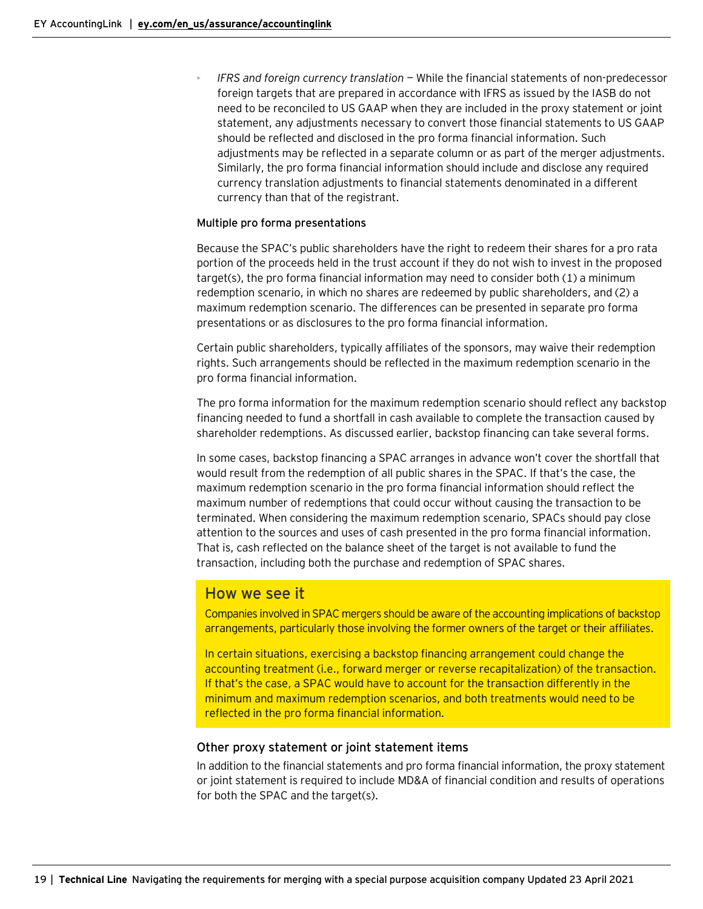• *IFRS and foreign currency translation* — While the financial statements of non-predecessor foreign targets that are prepared in accordance with IFRS as issued by the IASB do not need to be reconciled to US GAAP when they are included in the proxy statement or joint statement, any adjustments necessary to convert those financial statements to US GAAP should be reflected and disclosed in the pro forma financial information. Such adjustments may be reflected in a separate column or as part of the merger adjustments. Similarly, the pro forma financial information should include and disclose any required currency translation adjustments to financial statements denominated in a different currency than that of the registrant.

#### **Multiple pro forma presentations**

Because the SPAC's public shareholders have the right to redeem their shares for a pro rata portion of the proceeds held in the trust account if they do not wish to invest in the proposed target(s), the pro forma financial information may need to consider both (1) a minimum redemption scenario, in which no shares are redeemed by public shareholders, and (2) a maximum redemption scenario. The differences can be presented in separate pro forma presentations or as disclosures to the pro forma financial information.

Certain public shareholders, typically affiliates of the sponsors, may waive their redemption rights. Such arrangements should be reflected in the maximum redemption scenario in the pro forma financial information.

The pro forma information for the maximum redemption scenario should reflect any backstop financing needed to fund a shortfall in cash available to complete the transaction caused by shareholder redemptions. As discussed earlier, backstop financing can take several forms.

In some cases, backstop financing a SPAC arranges in advance won't cover the shortfall that would result from the redemption of all public shares in the SPAC. If that's the case, the maximum redemption scenario in the pro forma financial information should reflect the maximum number of redemptions that could occur without causing the transaction to be terminated. When considering the maximum redemption scenario, SPACs should pay close attention to the sources and uses of cash presented in the pro forma financial information. That is, cash reflected on the balance sheet of the target is not available to fund the transaction, including both the purchase and redemption of SPAC shares.

# How we see it

Companies involved in SPAC mergers should be aware of the accounting implications of backstop arrangements, particularly those involving the former owners of the target or their affiliates.

In certain situations, exercising a backstop financing arrangement could change the accounting treatment (i.e., forward merger or reverse recapitalization) of the transaction. If that's the case, a SPAC would have to account for the transaction differently in the minimum and maximum redemption scenarios, and both treatments would need to be reflected in the pro forma financial information.

#### <span id="page-18-0"></span>Other proxy statement or joint statement items

In addition to the financial statements and pro forma financial information, the proxy statement or joint statement is required to include MD&A of financial condition and results of operations for both the SPAC and the target(s).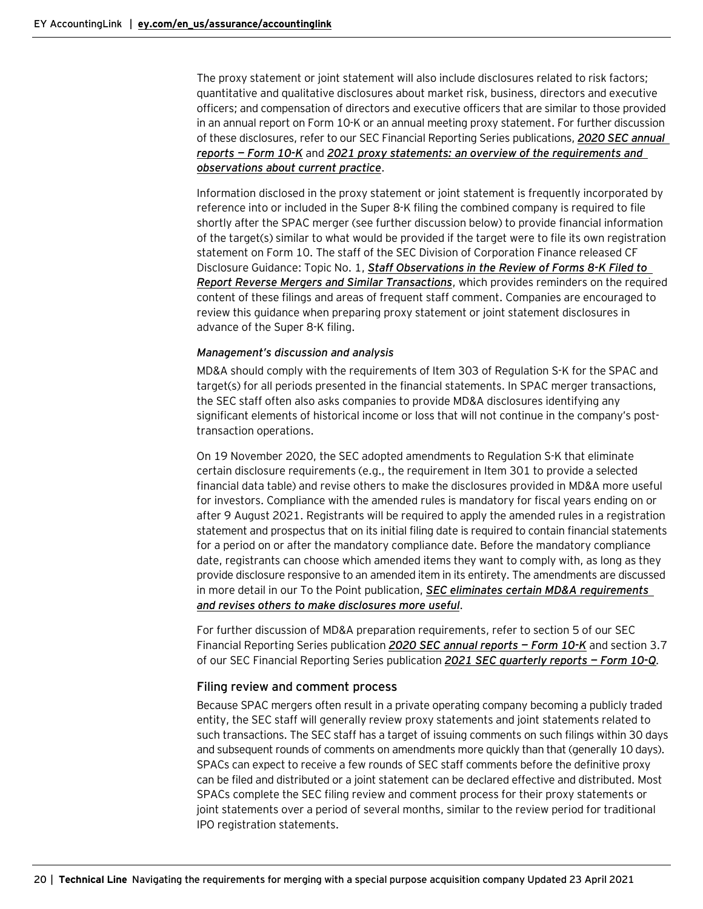The proxy statement or joint statement will also include disclosures related to risk factors; quantitative and qualitative disclosures about market risk, business, directors and executive officers; and compensation of directors and executive officers that are similar to those provided in an annual report on Form 10-K or an annual meeting proxy statement. For further discussion of these disclosures, refer to our SEC Financial Reporting Series publications, *[2020 SEC annual](https://www.ey.com/en_us/assurance/accountinglink/2020-sec-annual-reports---form-10-k)  [reports](https://www.ey.com/en_us/assurance/accountinglink/2020-sec-annual-reports---form-10-k) — Form 10-K* and *2021 proxy statements: [an overview of the requirements and](https://www.ey.com/en_us/assurance/accountinglink/2021-proxy-statements---an-overview-of-the-requirements)  [observations about current practice](https://www.ey.com/en_us/assurance/accountinglink/2021-proxy-statements---an-overview-of-the-requirements)*.

Information disclosed in the proxy statement or joint statement is frequently incorporated by reference into or included in the Super 8-K filing the combined company is required to file shortly after the SPAC merger (see further discussion below) to provide financial information of the target(s) similar to what would be provided if the target were to file its own registration statement on Form 10. The staff of the SEC Division of Corporation Finance released CF Disclosure Guidance: Topic No. 1, *[Staff Observations in the Review of Forms 8-K Filed to](https://www.sec.gov/divisions/corpfin/guidance/cfguidance-topic1.htm)  [Report Reverse Mergers and Similar Transactions](https://www.sec.gov/divisions/corpfin/guidance/cfguidance-topic1.htm)*, which provides reminders on the required content of these filings and areas of frequent staff comment. Companies are encouraged to review this guidance when preparing proxy statement or joint statement disclosures in advance of the Super 8-K filing.

#### *Management's discussion and analysis*

MD&A should comply with the requirements of Item 303 of Regulation S-K for the SPAC and target(s) for all periods presented in the financial statements. In SPAC merger transactions, the SEC staff often also asks companies to provide MD&A disclosures identifying any significant elements of historical income or loss that will not continue in the company's posttransaction operations.

On 19 November 2020, the SEC adopted amendments to Regulation S-K that eliminate certain disclosure requirements (e.g., the requirement in Item 301 to provide a selected financial data table) and revise others to make the disclosures provided in MD&A more useful for investors. Compliance with the amended rules is mandatory for fiscal years ending on or after 9 August 2021. Registrants will be required to apply the amended rules in a registration statement and prospectus that on its initial filing date is required to contain financial statements for a period on or after the mandatory compliance date. Before the mandatory compliance date, registrants can choose which amended items they want to comply with, as long as they provide disclosure responsive to an amended item in its entirety. The amendments are discussed in more detail in our To the Point publication, *[SEC eliminates certain MD&A requirements](https://www.ey.com/en_us/assurance/accountinglink/to-the-point---sec-eliminates-certain-md-a-requirements-and-revi0)  [and revises others to make disclosures more useful](https://www.ey.com/en_us/assurance/accountinglink/to-the-point---sec-eliminates-certain-md-a-requirements-and-revi0)*.

For further discussion of MD&A preparation requirements, refer to section 5 of our SEC Financial Reporting Series publication *[2020 SEC annual reports](https://www.ey.com/en_us/assurance/accountinglink/2020-sec-annual-reports---form-10-k) — Form 10-K* and section 3.7 of our SEC Financial Reporting Series publication *[2021 SEC quarterly reports](https://www.ey.com/en_us/assurance/accountinglink/2021-sec-quarterly-reports---form-10-q) — Form 10-Q.*

## <span id="page-19-0"></span>Filing review and comment process

Because SPAC mergers often result in a private operating company becoming a publicly traded entity, the SEC staff will generally review proxy statements and joint statements related to such transactions. The SEC staff has a target of issuing comments on such filings within 30 days and subsequent rounds of comments on amendments more quickly than that (generally 10 days). SPACs can expect to receive a few rounds of SEC staff comments before the definitive proxy can be filed and distributed or a joint statement can be declared effective and distributed. Most SPACs complete the SEC filing review and comment process for their proxy statements or joint statements over a period of several months, similar to the review period for traditional IPO registration statements.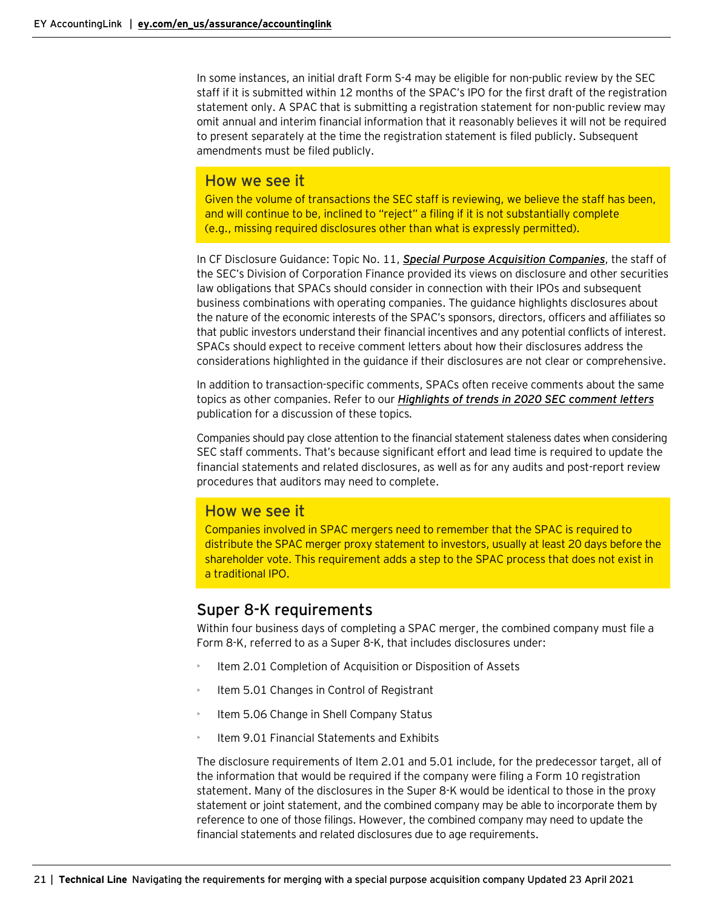In some instances, an initial draft Form S-4 may be eligible for non-public review by the SEC staff if it is submitted within 12 months of the SPAC's IPO for the first draft of the registration statement only. A SPAC that is submitting a registration statement for non-public review may omit annual and interim financial information that it reasonably believes it will not be required to present separately at the time the registration statement is filed publicly. Subsequent amendments must be filed publicly.

# How we see it

Given the volume of transactions the SEC staff is reviewing, we believe the staff has been, and will continue to be, inclined to "reject" a filing if it is not substantially complete (e.g., missing required disclosures other than what is expressly permitted).

In CF Disclosure Guidance: Topic No. 11, *[Special Purpose Acquisition Companies](https://www.sec.gov/corpfin/disclosure-special-purpose-acquisition-companies)*, the staff of the SEC's Division of Corporation Finance provided its views on disclosure and other securities law obligations that SPACs should consider in connection with their IPOs and subsequent business combinations with operating companies. The guidance highlights disclosures about the nature of the economic interests of the SPAC's sponsors, directors, officers and affiliates so that public investors understand their financial incentives and any potential conflicts of interest. SPACs should expect to receive comment letters about how their disclosures address the considerations highlighted in the guidance if their disclosures are not clear or comprehensive.

In addition to transaction-specific comments, SPACs often receive comments about the same topics as other companies. Refer to our *Highlights of [trends in 2020 SEC comment letters](https://www.ey.com/en_us/assurance/accountinglink/sec-reporting-update---highlights-of-trends-in-2020-sec-comment-)* publication for a discussion of these topics*.*

Companies should pay close attention to the financial statement staleness dates when considering SEC staff comments. That's because significant effort and lead time is required to update the financial statements and related disclosures, as well as for any audits and post-report review procedures that auditors may need to complete.

# How we see it

Companies involved in SPAC mergers need to remember that the SPAC is required to distribute the SPAC merger proxy statement to investors, usually at least 20 days before the shareholder vote. This requirement adds a step to the SPAC process that does not exist in a traditional IPO.

# <span id="page-20-0"></span>Super 8-K requirements

Within four business days of completing a SPAC merger, the combined company must file a Form 8-K, referred to as a Super 8-K, that includes disclosures under:

- Item 2.01 Completion of Acquisition or Disposition of Assets
- Item 5.01 Changes in Control of Registrant
- Item 5.06 Change in Shell Company Status
- Item 9.01 Financial Statements and Exhibits

The disclosure requirements of Item 2.01 and 5.01 include, for the predecessor target, all of the information that would be required if the company were filing a Form 10 registration statement. Many of the disclosures in the Super 8-K would be identical to those in the proxy statement or joint statement, and the combined company may be able to incorporate them by reference to one of those filings. However, the combined company may need to update the financial statements and related disclosures due to age requirements.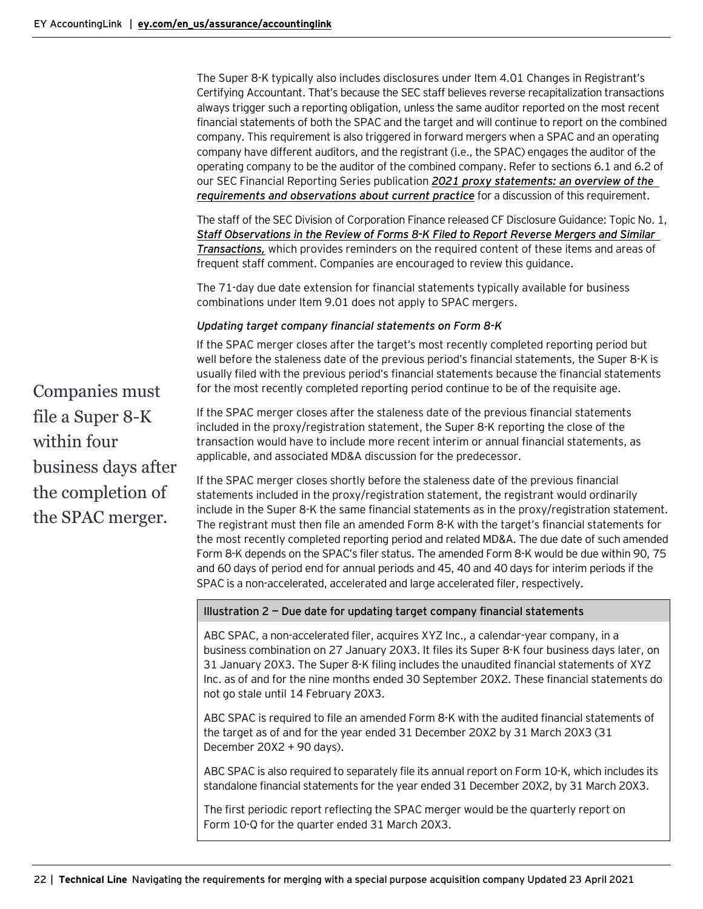The Super 8-K typically also includes disclosures under Item 4.01 Changes in Registrant's Certifying Accountant. That's because the SEC staff believes reverse recapitalization transactions always trigger such a reporting obligation, unless the same auditor reported on the most recent financial statements of both the SPAC and the target and will continue to report on the combined company. This requirement is also triggered in forward mergers when a SPAC and an operating company have different auditors, and the registrant (i.e., the SPAC) engages the auditor of the operating company to be the auditor of the combined company. Refer to sections 6.1 and 6.2 of our SEC Financial Reporting Series publication *[2021 proxy statements:](https://www.ey.com/en_us/assurance/accountinglink/2021-proxy-statements---an-overview-of-the-requirements) an overview of the [requirements and observations about current practice](https://www.ey.com/en_us/assurance/accountinglink/2021-proxy-statements---an-overview-of-the-requirements)* for a discussion of this requirement.

The staff of the SEC Division of Corporation Finance released CF Disclosure Guidance: Topic No. 1, *[Staff Observations in the Review of Forms 8-K Filed to Report Reverse Mergers and Similar](https://www.sec.gov/divisions/corpfin/guidance/cfguidance-topic1.htm)  [Transactions,](https://www.sec.gov/divisions/corpfin/guidance/cfguidance-topic1.htm)* which provides reminders on the required content of these items and areas of frequent staff comment. Companies are encouraged to review this guidance.

The 71-day due date extension for financial statements typically available for business combinations under Item 9.01 does not apply to SPAC mergers.

## *Updating target company financial statements on Form 8-K*

If the SPAC merger closes after the target's most recently completed reporting period but well before the staleness date of the previous period's financial statements, the Super 8-K is usually filed with the previous period's financial statements because the financial statements for the most recently completed reporting period continue to be of the requisite age.

If the SPAC merger closes after the staleness date of the previous financial statements included in the proxy/registration statement, the Super 8-K reporting the close of the transaction would have to include more recent interim or annual financial statements, as applicable, and associated MD&A discussion for the predecessor.

If the SPAC merger closes shortly before the staleness date of the previous financial statements included in the proxy/registration statement, the registrant would ordinarily include in the Super 8-K the same financial statements as in the proxy/registration statement. The registrant must then file an amended Form 8-K with the target's financial statements for the most recently completed reporting period and related MD&A. The due date of such amended Form 8-K depends on the SPAC's filer status. The amended Form 8-K would be due within 90, 75 and 60 days of period end for annual periods and 45, 40 and 40 days for interim periods if the SPAC is a non-accelerated, accelerated and large accelerated filer, respectively.

#### **Illustration 2 — Due date for updating target company financial statements**

ABC SPAC, a non-accelerated filer, acquires XYZ Inc., a calendar-year company, in a business combination on 27 January 20X3. It files its Super 8-K four business days later, on 31 January 20X3. The Super 8-K filing includes the unaudited financial statements of XYZ Inc. as of and for the nine months ended 30 September 20X2. These financial statements do not go stale until 14 February 20X3.

ABC SPAC is required to file an amended Form 8-K with the audited financial statements of the target as of and for the year ended 31 December 20X2 by 31 March 20X3 (31 December 20X2 + 90 days).

ABC SPAC is also required to separately file its annual report on Form 10-K, which includes its standalone financial statements for the year ended 31 December 20X2, by 31 March 20X3.

The first periodic report reflecting the SPAC merger would be the quarterly report on Form 10-Q for the quarter ended 31 March 20X3.

Companies must file a Super 8-K within four business days after the completion of the SPAC merger.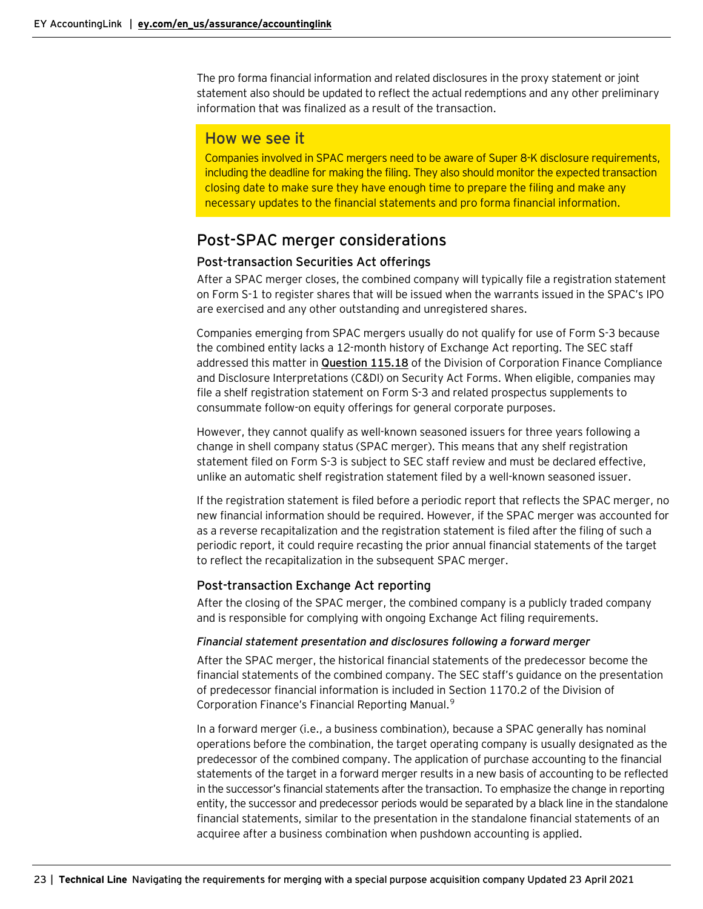The pro forma financial information and related disclosures in the proxy statement or joint statement also should be updated to reflect the actual redemptions and any other preliminary information that was finalized as a result of the transaction.

# How we see it

Companies involved in SPAC mergers need to be aware of Super 8-K disclosure requirements, including the deadline for making the filing. They also should monitor the expected transaction closing date to make sure they have enough time to prepare the filing and make any necessary updates to the financial statements and pro forma financial information.

# <span id="page-22-0"></span>Post-SPAC merger considerations

## <span id="page-22-1"></span>Post-transaction Securities Act offerings

After a SPAC merger closes, the combined company will typically file a registration statement on Form S-1 to register shares that will be issued when the warrants issued in the SPAC's IPO are exercised and any other outstanding and unregistered shares.

Companies emerging from SPAC mergers usually do not qualify for use of Form S-3 because the combined entity lacks a 12-month history of Exchange Act reporting. The SEC staff addressed this matter in **[Question 115.18](https://www.sec.gov/corpfin/securities-act-forms#115.18)** of the Division of Corporation Finance Compliance and Disclosure Interpretations (C&DI) on Security Act Forms. When eligible, companies may file a shelf registration statement on Form S-3 and related prospectus supplements to consummate follow-on equity offerings for general corporate purposes.

However, they cannot qualify as well-known seasoned issuers for three years following a change in shell company status (SPAC merger). This means that any shelf registration statement filed on Form S-3 is subject to SEC staff review and must be declared effective, unlike an automatic shelf registration statement filed by a well-known seasoned issuer.

If the registration statement is filed before a periodic report that reflects the SPAC merger, no new financial information should be required. However, if the SPAC merger was accounted for as a reverse recapitalization and the registration statement is filed after the filing of such a periodic report, it could require recasting the prior annual financial statements of the target to reflect the recapitalization in the subsequent SPAC merger.

# <span id="page-22-2"></span>Post-transaction Exchange Act reporting

After the closing of the SPAC merger, the combined company is a publicly traded company and is responsible for complying with ongoing Exchange Act filing requirements.

## *Financial statement presentation and disclosures following a forward merger*

After the SPAC merger, the historical financial statements of the predecessor become the financial statements of the combined company. The SEC staff's guidance on the presentation of predecessor financial information is included in Section 1170.2 of the Division of Corporation Finance's Financial Reporting Manual.<sup>[9](#page-26-0)</sup>

In a forward merger (i.e., a business combination), because a SPAC generally has nominal operations before the combination, the target operating company is usually designated as the predecessor of the combined company. The application of purchase accounting to the financial statements of the target in a forward merger results in a new basis of accounting to be reflected in the successor's financial statements after the transaction. To emphasize the change in reporting entity, the successor and predecessor periods would be separated by a black line in the standalone financial statements, similar to the presentation in the standalone financial statements of an acquiree after a business combination when pushdown accounting is applied.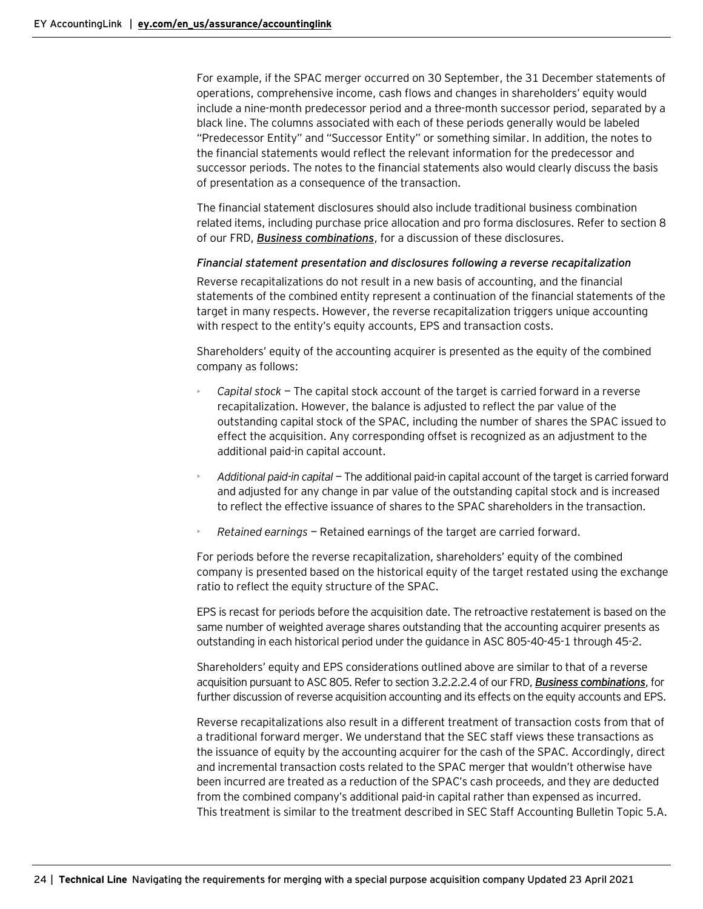For example, if the SPAC merger occurred on 30 September, the 31 December statements of operations, comprehensive income, cash flows and changes in shareholders' equity would include a nine-month predecessor period and a three-month successor period, separated by a black line. The columns associated with each of these periods generally would be labeled "Predecessor Entity" and "Successor Entity" or something similar. In addition, the notes to the financial statements would reflect the relevant information for the predecessor and successor periods. The notes to the financial statements also would clearly discuss the basis of presentation as a consequence of the transaction.

The financial statement disclosures should also include traditional business combination related items, including purchase price allocation and pro forma disclosures. Refer to section 8 of our FRD, *[Business combinations](https://www.ey.com/en_us/assurance/accountinglink/financial-reporting-developments---business-combinations)*, for a discussion of these disclosures.

#### *Financial statement presentation and disclosures following a reverse recapitalization*

Reverse recapitalizations do not result in a new basis of accounting, and the financial statements of the combined entity represent a continuation of the financial statements of the target in many respects. However, the reverse recapitalization triggers unique accounting with respect to the entity's equity accounts, EPS and transaction costs.

Shareholders' equity of the accounting acquirer is presented as the equity of the combined company as follows:

- *Capital stock* The capital stock account of the target is carried forward in a reverse recapitalization. However, the balance is adjusted to reflect the par value of the outstanding capital stock of the SPAC, including the number of shares the SPAC issued to effect the acquisition. Any corresponding offset is recognized as an adjustment to the additional paid-in capital account.
- *Additional paid-in capital* The additional paid-in capital account of the targetis carried forward and adjusted for any change in par value of the outstanding capital stock and is increased to reflect the effective issuance of shares to the SPAC shareholders in the transaction.
- *Retained earnings* Retained earnings of the target are carried forward.

For periods before the reverse recapitalization, shareholders' equity of the combined company is presented based on the historical equity of the target restated using the exchange ratio to reflect the equity structure of the SPAC.

EPS is recast for periods before the acquisition date. The retroactive restatement is based on the same number of weighted average shares outstanding that the accounting acquirer presents as outstanding in each historical period under the guidance in ASC 805-40-45-1 through 45-2.

Shareholders' equity and EPS considerations outlined above are similar to that of a reverse acquisition pursuant to ASC 805. Refer to section 3.2.2.2.4 of our FRD, *[Business combinations](https://www.ey.com/en_us/assurance/accountinglink/financial-reporting-developments---business-combinations)*, for further discussion of reverse acquisition accounting and its effects on the equity accounts and EPS.

Reverse recapitalizations also result in a different treatment of transaction costs from that of a traditional forward merger. We understand that the SEC staff views these transactions as the issuance of equity by the accounting acquirer for the cash of the SPAC. Accordingly, direct and incremental transaction costs related to the SPAC merger that wouldn't otherwise have been incurred are treated as a reduction of the SPAC's cash proceeds, and they are deducted from the combined company's additional paid-in capital rather than expensed as incurred. This treatment is similar to the treatment described in SEC Staff Accounting Bulletin Topic 5.A.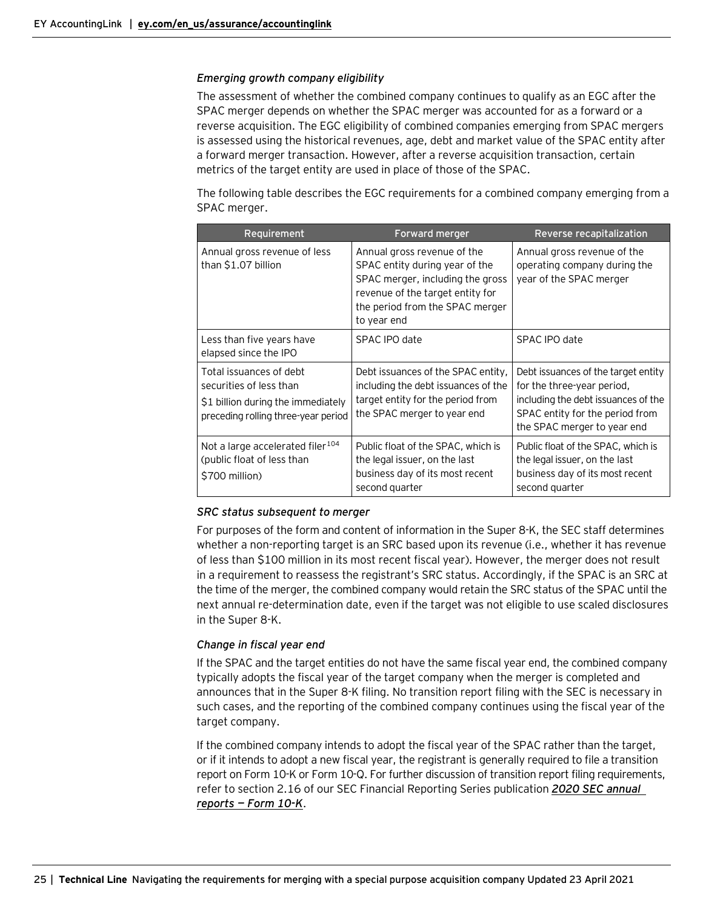#### *Emerging growth company eligibility*

The assessment of whether the combined company continues to qualify as an EGC after the SPAC merger depends on whether the SPAC merger was accounted for as a forward or a reverse acquisition. The EGC eligibility of combined companies emerging from SPAC mergers is assessed using the historical revenues, age, debt and market value of the SPAC entity after a forward merger transaction. However, after a reverse acquisition transaction, certain metrics of the target entity are used in place of those of the SPAC.

The following table describes the EGC requirements for a combined company emerging from a SPAC merger.

| Requirement                                                                                                                     | <b>Forward merger</b>                                                                                                                                                                   | Reverse recapitalization                                                                                                                                                   |
|---------------------------------------------------------------------------------------------------------------------------------|-----------------------------------------------------------------------------------------------------------------------------------------------------------------------------------------|----------------------------------------------------------------------------------------------------------------------------------------------------------------------------|
| Annual gross revenue of less<br>than \$1.07 billion                                                                             | Annual gross revenue of the<br>SPAC entity during year of the<br>SPAC merger, including the gross<br>revenue of the target entity for<br>the period from the SPAC merger<br>to year end | Annual gross revenue of the<br>operating company during the<br>year of the SPAC merger                                                                                     |
| Less than five years have<br>elapsed since the IPO                                                                              | SPAC IPO date                                                                                                                                                                           | SPAC IPO date                                                                                                                                                              |
| Total issuances of debt<br>securities of less than<br>\$1 billion during the immediately<br>preceding rolling three-year period | Debt issuances of the SPAC entity,<br>including the debt issuances of the<br>target entity for the period from<br>the SPAC merger to year end                                           | Debt issuances of the target entity<br>for the three-year period,<br>including the debt issuances of the<br>SPAC entity for the period from<br>the SPAC merger to year end |
| Not a large accelerated filer <sup>104</sup><br>(public float of less than<br>\$700 million)                                    | Public float of the SPAC, which is<br>the legal issuer, on the last<br>business day of its most recent<br>second quarter                                                                | Public float of the SPAC, which is<br>the legal issuer, on the last<br>business day of its most recent<br>second quarter                                                   |

#### *SRC status subsequent to merger*

For purposes of the form and content of information in the Super 8-K, the SEC staff determines whether a non-reporting target is an SRC based upon its revenue (i.e., whether it has revenue of less than \$100 million in its most recent fiscal year). However, the merger does not result in a requirement to reassess the registrant's SRC status. Accordingly, if the SPAC is an SRC at the time of the merger, the combined company would retain the SRC status of the SPAC until the next annual re-determination date, even if the target was not eligible to use scaled disclosures in the Super 8-K.

#### *Change in fiscal year end*

If the SPAC and the target entities do not have the same fiscal year end, the combined company typically adopts the fiscal year of the target company when the merger is completed and announces that in the Super 8-K filing. No transition report filing with the SEC is necessary in such cases, and the reporting of the combined company continues using the fiscal year of the target company.

If the combined company intends to adopt the fiscal year of the SPAC rather than the target, or if it intends to adopt a new fiscal year, the registrant is generally required to file a transition report on Form 10-K or Form 10-Q. For further discussion of transition report filing requirements, refer to section 2.16 of our SEC Financial Reporting Series publication *[2020 SEC annual](https://www.ey.com/en_us/assurance/accountinglink/2020-sec-annual-reports---form-10-k)  [reports](https://www.ey.com/en_us/assurance/accountinglink/2020-sec-annual-reports---form-10-k) — Form 10-K*.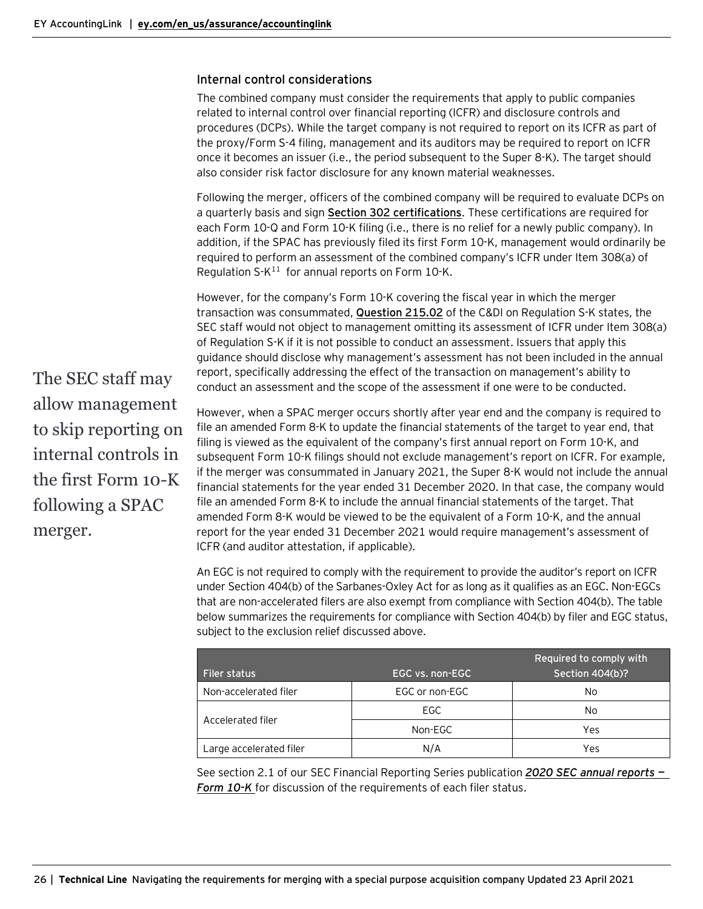#### <span id="page-25-0"></span>Internal control considerations

The combined company must consider the requirements that apply to public companies related to internal control over financial reporting (ICFR) and disclosure controls and procedures (DCPs). While the target company is not required to report on its ICFR as part of the proxy/Form S-4 filing, management and its auditors may be required to report on ICFR once it becomes an issuer (i.e., the period subsequent to the Super 8-K). The target should also consider risk factor disclosure for any known material weaknesses.

Following the merger, officers of the combined company will be required to evaluate DCPs on a quarterly basis and sign **Section [302 certifications](https://www.sec.gov/rules/final/33-8124.htm)**. These certifications are required for each Form 10-Q and Form 10-K filing (i.e., there is no relief for a newly public company). In addition, if the SPAC has previously filed its first Form 10-K, management would ordinarily be required to perform an assessment of the combined company's ICFR under Item 308(a) of Regulation  $S-K^{11}$  $S-K^{11}$  $S-K^{11}$  for annual reports on Form 10-K.

However, for the company's Form 10-K covering the fiscal year in which the merger transaction was consummated, **[Question 215.02](https://www.sec.gov/divisions/corpfin/guidance/regs-kinterp.htm)** of the C&DI on Regulation S-K states, the SEC staff would not object to management omitting its assessment of ICFR under Item 308(a) of Regulation S-K if it is not possible to conduct an assessment. Issuers that apply this guidance should disclose why management's assessment has not been included in the annual report, specifically addressing the effect of the transaction on management's ability to conduct an assessment and the scope of the assessment if one were to be conducted.

The SEC staff may allow management to skip reporting on internal controls in the first Form 10-K following a SPAC merger.

However, when a SPAC merger occurs shortly after year end and the company is required to file an amended Form 8-K to update the financial statements of the target to year end, that filing is viewed as the equivalent of the company's first annual report on Form 10-K, and subsequent Form 10-K filings should not exclude management's report on ICFR. For example, if the merger was consummated in January 2021, the Super 8-K would not include the annual financial statements for the year ended 31 December 2020. In that case, the company would file an amended Form 8-K to include the annual financial statements of the target. That amended Form 8-K would be viewed to be the equivalent of a Form 10-K, and the annual report for the year ended 31 December 2021 would require management's assessment of ICFR (and auditor attestation, if applicable).

An EGC is not required to comply with the requirement to provide the auditor's report on ICFR under Section 404(b) of the Sarbanes-Oxley Act for as long as it qualifies as an EGC. Non-EGCs that are non-accelerated filers are also exempt from compliance with Section 404(b). The table below summarizes the requirements for compliance with Section 404(b) by filer and EGC status, subject to the exclusion relief discussed above.

| <b>Filer status</b>     | EGC vs. non-EGC | Required to comply with<br>Section 404(b)? |
|-------------------------|-----------------|--------------------------------------------|
| Non-accelerated filer   | EGC or non-EGC  | No.                                        |
|                         | EGC.            | No.                                        |
| Accelerated filer       | Non-EGC         | Yes                                        |
| Large accelerated filer | N/A             | Yes                                        |

See section 2.1 of our SEC Financial Reporting Series publication *[2020 SEC annual reports](https://www.ey.com/en_us/assurance/accountinglink/2020-sec-annual-reports---form-10-k) — [Form](https://www.ey.com/en_us/assurance/accountinglink/2020-sec-annual-reports---form-10-k) 10-K* for discussion of the requirements of each filer status.